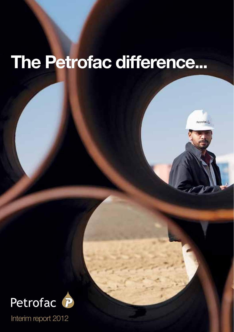# The Petrofac difference...

Petrofac<sub>io</sub>

a Petro de Alexandre de Alexandre de Alexandre de Alexandre de Alexandre de Alexandre de Alexandre de Alexandre de Alexandre de Alexandre de Alexandre de Alexandre de Alexandre de Alexandre de Alexandre de Alexandre de Ale



Interim report 2012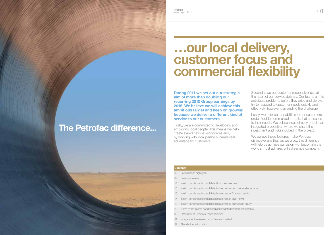$\frac{\text{Peterofac}}{\text{Interfin (e) } \text{Peterof ac}}$  (1) Petrofac Interim report 2012

Interim report 2012

# …our local delivery, customer focus and commercial flexibility

During 2011 we set out our strategic aim of more than doubling our recurring 2010 Group earnings by 2015. We believe we will achieve this ambitious target and keep on growing because we deliver a different kind of service to our customers.

Firstly, we are committed to developing and employing local people. This means we help create skilled national workforces and, by working with local partners, create real advantage for customers.

Secondly, we put customer responsiveness at the heart of our service delivery. Our teams aim to anticipate problems before they arise and always try to respond to customer needs quickly and effectively, however demanding the challenge.

Lastly, we offer our capabilities to our customers under flexible commercial models that are suited to their needs. We sell services directly or build an integrated proposition where we share the investment and risks involved in the project.

We believe these features make Petrofac distinctive and that, as we grow, this difference will help us achieve our vision – of becoming the world's most admired oilfield service company.

#### **Contents**

The Petrofac difference...

- 02 Performance highlights
- 04 Business review
- 14 Interim condensed consolidated income statement
- 15 Interim condensed consolidated statement of comprehensive income
- 16 Interim condensed consolidated statement of financial position
- 17 Interim condensed consolidated statement of cash flows
- 19 Interim condensed consolidated statement of changes in equity
- 22 Notes to the interim condensed consolidated financial statements
- 30 Statement of Directors' responsibilities
- 31 Independent review report to Petrofac Limited
- 32 Shareholder information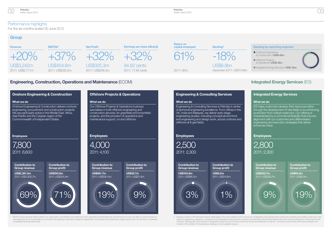

# Performance highlights

For the six months ended 30 June 2012

## **Group**



Petrofac Interim report 2012

# Engineering, Construction, Operations and Maintenance (ECOM) **Integrated Energy Services** (IES)



1 EBITDA means earnings before interest, tax, depreciation, amortisation and impairment and is calculated as profit before tax and net finance income, but after our share of losses of associates (as per the consolidated income statement) adjusted to add back charges for depreciation, amortisation and impairment charges (as per note 3 to the interim condensed consolidated financial statements).

## Engineering & Consulting Services

Engineering & Consulting Services is Petrofac's centre of technical engineering excellence. From offices in the UK, India and Malaysia, we deliver early-stage engineering studies, including conceptual and frontend engineering and design work, across onshore and offshore oil & gas fields.

Contribution to Group revenue



Contribution to Group profit US\$5.0m 2011: US\$14.8m



## Integrated Energy Services

#### What we do

IES helps customers develop their resources either through the development of new fields or by enhancing production from mature reservoirs. Our offering is characterised by a commercial flexibility that ensures alignment with our customers and differentiated engineering and execution strategies that deliver enhanced value.

## **Employees**



US\$322.7m 2011: US\$256.7m

Contribution to Group revenue

Contribution to Group profit

US\$65.0m 2011: US\$6.0m

2 Backlog consists of the estimated revenue attributable to the uncompleted portion of lump-sum engineering, procurement and construction contracts and variation orders plus, with<br>regard to engineering, operations, mainten five years. Backlog will not be booked on Integrated Energy Services contracts where the Group has entitlement to reserves. The Group uses this key performance indicator as a measure of the visibility of future revenue. Backlog is not an audited measure.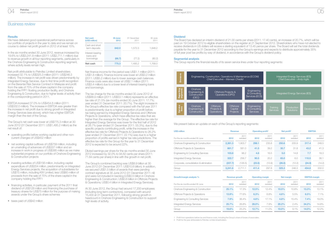

## Business review

#### **Results**

We have delivered good operational performance across our portfolio of projects in the year to date and we remain on course to deliver net profit growth in 2012 of at least 15%.

In the six months ended 30 June 2012, revenue increased by 19.6% to US\$3,241.8 million (2011: US\$2,711.1 million) due to revenue growth in all four reporting segments, particularly in the Onshore Engineering & Construction reporting segment, where activity levels remain high.

Net profit attributable to Petrofac Limited shareholders increased 32.1% to US\$325.3 million (2011: US\$246.3 million). The increase in net profit was driven predominantly by Integrated Energy Services, due to first time profit recognition on the Berantai Risk Service Contract in Malaysia and profit from the sale of 75% of the share capital in the company holding the FPF1 floating production facility, and Onshore Engineering & Construction, due to higher levels of activity than in the corresponding period in 2011.

EBITDA increased 37.0% to US\$454.8 million (2011: US\$332.0 million). The increase in EBITDA was greater than the increase in net profit due to strong growth in Integrated Energy Services (see above), which has a higher EBITDA margin than the rest of the Group.

The Group's net cash was lower at US\$775.3 million at 30 June 2012 (31 December 2011: US\$1,495.2 million) as the net result of:

- operating profits before working capital and other noncurrent changes of US\$452 million
- net working capital outflows of US\$759 million, including an unwinding of advances of US\$337 million and an increase in work in progress of US\$385 million as we make substantial progress on our portfolio of Onshore Engineering & Construction projects
- investing activities of US\$156 million, including capital expenditure of US\$204 million, predominantly on Integrated Energy Services projects, the acquisition of subsidiaries for US\$15 million, including KW Limited, less US\$60 million of proceeds from the sale of 75% of the share capital in the company holding the FPF1
- financing activities, in particular, payment of the 2011 final dividend of US\$128 million and financing the purchase of treasury shares for US\$75 million for the purpose of making awards under the Group's share schemes
- taxes paid of US\$42 million

| Net cash<br>(US\$ million)      | 30 June<br>2012 | 31 December<br>2011 | 30 June<br>2011 |
|---------------------------------|-----------------|---------------------|-----------------|
| Cash and short<br>term deposits | 842.0           | 1.572.3             | 1.848.2         |
| Interest-bearing<br>loans and   |                 |                     |                 |
| borrowings                      | (66.7)          | (77.2)              | (80.2)          |
| Net cash                        | 775.3           | 1.495.2             | 1.768.0         |

Net finance income for the period was US\$1.1 million (2011: US\$1.8 million). Finance income was lower at US\$3.2 million (2011: US\$5.2 million) due to lower average cash balances. Finance costs were also lower at US\$2.1 million (2011: US\$3.4 million) due to a lower level of interest-bearing loans and borrowings.

The tax charge for the six months ended 30 June 2012 of US\$88.9 million (2011: US\$53.1 million) represents an effective tax rate of 21.5% (six months ended 30 June 2011: 17.7%; year ended 31 December 2011: 20.7%). The slight increase in the Group's effective tax rate compared with the full year 2011 is predominantly due to a higher proportion of profit before tax being earned by Integrated Energy Services and Offshore Projects & Operations, which have effective tax rates that are higher than the average for the Group. The effective tax rate for Integrated Energy Services was lower for the first half of 2012 at 26.7% (year ended 31 December 2011: 55.3%), due to the specific projects contributing profit, while the increase in the effective tax rate for Offshore Projects & Operations to 26.2% (year ended 31 December 2011: 22.1%) was due to a higher proportion of profits earned in higher tax rate jurisdictions. The effective tax rate for the Group for the year to 31 December 2012 is expected to be around 22%.

Diluted earnings per share for the six months ended 30 June 2012 increased by 32.0% to 94.82 cents per share (2011: 71.84 cents per share) in line with the growth in net profit.

The Group's combined backlog was US\$8.9 billion at 30 June 2012 (31 December 2011: US\$10.8 billion). In addition, we secured US\$1.5 billion of awards that were pending contract signature at 30 June 2012 (31 December 2011: nil) and were not included in backlog (US\$0.5 billion in Onshore Engineering & Construction; US\$0.6 billion in Offshore Projects & Operations; US\$0.4 billion in Integrated Energy Services).

At 30 June 2012, the Group had around 17,200 employees (including long-term contractors), compared with around 15,400 at 31 December 2011, following strong growth in headcount in Onshore Engineering & Construction to support high levels of activity.

#### **Dividend**

The Board has declared an interim dividend of 21.00 cents per share (2011: 17.40 cents), an increase of 20.7%, which will be paid on 19 October 2012 to eligible shareholders on the register at 21 September 2012. Shareholders who have not elected to receive dividends in US dollars will receive a sterling equivalent of 13.45 pence per share. The Board will set the total dividends payable for the year to 31 December 2012 according to the Group's earnings and expects to distribute approximately 35% of full year post tax profits by way of dividend, in accordance with the Group's dividend policy.

#### Segmental analysis

The Group reports the financial results of its seven service lines under four reporting segments:



We present below an update on each of the Group's reporting segments:

| <b>US\$ million</b>                    | <b>Revenue</b> |                  | Operating profit <sup>1</sup> |                  | Net profit <sup>2</sup> |                  | <b>EBITDA</b> |                  |
|----------------------------------------|----------------|------------------|-------------------------------|------------------|-------------------------|------------------|---------------|------------------|
| For the six months ended 30 June       | 2012           | 2011<br>restated | 2012                          | 2011<br>restated | 2012                    | 2011<br>restated | 2012          | 2011<br>restated |
| Onshore Engineering & Construction     | 2.381.3        | 1.903.7          | 298.1                         | 235.8            | 250.6                   | 205.9            | 317.4         | 248.5            |
| Offshore Projects & Operations         | 661.7          | 581.0            | 41.5                          | 39.2             | 30.7                    | 31.8             | 43.2          | 41.3             |
| Engineering & Consulting Services      | 103.8          | 96.2             | 4.8                           | 16.5             | 5.0                     | 14.8             | 7.7           | 18.3             |
| <b>Integrated Energy Services</b>      | 322.7          | 256.7            | 90.5                          | 20.2             | 65.0                    | 6.0              | 110.5         | 38.1             |
| Corporate, consolidation & elimination | (227.7)        | (126.5)          | (23.5)                        | (13.9)           | (26.0)                  | (12.2)           | (24.0)        | (14.2)           |
| Group                                  | 3.241.8        | 2.711.1          | 411.4                         | 297.8            | 325.3                   | 246.3            | 454.8         | 332.0            |

| Growth/margin analysis %           | <b>Revenue arowth</b> |                  | <b>Operating margin</b> |                  | <b>Net margin</b> |                  | <b>EBITDA</b> margin |                  |
|------------------------------------|-----------------------|------------------|-------------------------|------------------|-------------------|------------------|----------------------|------------------|
| For the six months ended 30 June   | 2012                  | 2011<br>restated | 2012                    | 2011<br>restated | 2012              | 2011<br>restated | 2012                 | 2011<br>restated |
| Onshore Engineering & Construction | 25.1%                 | 17.3%            | 12.5%                   | 12.4%            | 10.5%             | 10.8%            | 13.3%                | 13.1%            |
| Offshore Projects & Operations     | 13.9%                 | 77.6%            | 6.3%                    | 6.8%             | 4.6%              | 5.5%             | 6.5%                 | 7.1%             |
| Engineering & Consulting Services  | 7.9%                  | 36.4%            | 4.6%                    | 17.1%            | 4.8%              | 15.4%            | 7.4%                 | 19.0%            |
| <b>Integrated Energy Services</b>  | 25.7%                 | 26.8%            | 28.0%                   | 7.9%             | 20.2%             | 2.4%             | 34.2%                | 14.8%            |
| Group                              | 19.6%                 | 25.2%            | 12.7%                   | 11.0%            | 10.0%             | 9.1%             | 14.0%                | 12.2%            |

1 Profit from operations before tax and finance costs, including the Group's share of losses of associates.

2 Profit for the year attributable to Petrofac Limited shareholders.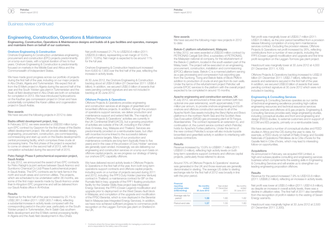

## Engineering, Construction, Operations & Maintenance

Engineering, Construction, Operations & Maintenance designs and builds oil & gas facilities and operates, manages and maintains them on behalf of our customers.

#### Onshore Engineering & Construction

Onshore Engineering & Construction undertakes engineering, procurement and construction (EPC) projects predominantly on a lump-sum basis, with a typical duration of two to four years. Onshore Engineering & Construction is predominantly focused on markets in the Middle East and Africa and the Commonwealth of Independent States.

We have made good progress across our portfolio of projects during the first half of the year, including on our major projects in Abu Dhabi, Algeria and Turkmenistan. We expect first oil from the El Merk project in Algeria during the second half of the year and the South Yoloten gas plant in Turkmenistan and the Asab oil field development in Abu Dhabi are both on schedule for completion in 2013. We have introduced hydrocarbons on the Kauther gas compression project in Oman and have substantially completed the Karan utilities and cogeneration project in Saudi Arabia.

#### New awards

We have secured the following projects in 2012 to date:

#### Badra oilfield development project, Iraq

In February 2012, we were awarded a US\$330 million lumpsum EPC contract by Gazprom for the first phase of the Badra oilfield development project. We will provide detailed design, engineering, procurement, construction, pre-commissioning, commissioning and start-up work on the Badra development's central processing facility, which comprises three crude oil processing trains. The first phase of the project is expected to come on stream in the second half of 2013, with final completion scheduled during the second half of 2015.

#### Petro Rabigh Phase II petrochemical expansion project, Saudi Arabia

In July 2012, we announced the award of two EPC contracts for Petro Rabigh's (a joint venture between Saudi Aramco and Sumitomo Chemical Co Ltd) Phase II petrochemical project in Saudi Arabia. The EPC contracts are for tank farms in the north and south areas and common utilities. The projects, which are scheduled to be undertaken within 36 months, are some of the first major awards made by Saudi Aramco under their In-Kingdom EPC programme and will be delivered from our Saudi Arabia office in Al-Khobar.

#### **Results**

Revenue for the first half of the year increased by 25.1% to US\$2,381.3 million (2011: US\$1,903.7 million), reflecting a substantial increase in activity levels compared with the corresponding period in the prior year, particularly on the South Yoloten project in Turkmenistan, the In Salah Gas southern fields development and the El Merk central processing facility in Algeria and the Asab field development in Abu Dhabi.

Net profit increased 21.7% to US\$250.6 million (2011: US\$205.9 million), representing a net margin of 10.5% (2011: 10.8%). Net margin is expected to be around 11% for the full year.

Onshore Engineering & Construction headcount increased from 6,600 to 7,800 over the first half of the year, reflecting the increase in activity levels.

At 30 June 2012, the Onshore Engineering & Construction backlog stood at US\$4.6 billion (31 December 2011: US\$6.4 billion). In addition, we secured US\$0.5 billion of awards that were pending contract signature and are not included in backlog at 30 June 2012.

#### Offshore Projects & Operations

Offshore Projects & Operations provides engineering and construction services at all stages of greenfield and brownfield offshore projects. In addition, through the provision of operations support services, we deliver production and maintenance support and extend field life. The majority of Offshore Projects & Operations' activities are currently in the UK Continental Shelf (UKCS), but a growing proportion of activities are outside of the UK, including in the United Arab Emirates, Iraq, Malaysia and Thailand. Services are predominantly provided on a reimbursable basis, but often with incentive income linked to the successful delivery of performance targets. Many of our production and maintenance contracts are long-term (typically three to five years) and in the case of the provision of Duty Holder<sup>1</sup> services are generally open-ended. Increasingly, we are delivering our engineering and construction services on a lump-sum basis on offshore capital projects, as we progress our strategy of taking our onshore EPC capability offshore.

We have delivered record activity levels in Offshore Projects & Operations in the first half of the year, from both long-term operations support contracts and offshore capital projects, including work on a number of projects secured during 2011 and 2012, including: the FPF3 Duty Holder (Jasmine Venture) contract in Thailand; a maintenance contract for BP on the Rumaila field in Iraq; upgrade of the FPF1 floating production facility for the Greater Stella Area project (see Integrated Energy Services); the FPF5 (Ocean Legend) modification and upgrade prior to deployment on the West Desaru fault block in Malaysia; and completion of the upgrade and modification of the FPSO Berantai, which is now deployed in the Berantai field in Malaysia (see Integrated Energy Services). In addition, we have now achieved sufficient progress to commence profit recognition on the Laggan-Tormore gas plant on Shetland in the UK.

#### New awards

We have secured the following major new projects in 2012 to date:

#### Bekok-C platform refurbishment, Malaysia

In May 2012, we were awarded a US\$220 million contract by PETRONAS Carigali Sdn Bhd, a subsidiary of PETRONAS, the Malaysian national oil company, for the refurbishment of the Bekok-C platform, located in the south-eastern part of the Malay basin. The project will be executed on an engineering, procurement, construction, installation and commissioning (EPCIC) alliance basis. Bekok-C is a manned platform serving as a gas processing and compression hub exporting gas from the Guntong, Tiong and Bekok fields of Block PM9 in addition to production of crude oil and gas from its own wells. Under the terms of the refurbishment project Petrofac will provide EPCIC services to the platform with the overall project expected to be completed in around 15 months.

#### Apache engineering and construction services, UK

In July 2012, we announced a three-year contract (with two optional one-year extensions), worth approximately £100 million per annum, to provide onshore engineering and both onshore and offshore construction services to all of the Apache North Sea assets including the Beryl Alpha and Bravo platforms in the northern North Sea and the Scottish Area Gas Evacuation (SAGE) gas processing plant at St Fergus, Aberdeenshire. The contract represents an extension to, and continuation of, the current service contract which Petrofac holds for Apache's Forties platforms. Under the terms of the new contract Petrofac's scope will also include topside brownfield and greenfield activity in addition to interfacing with subsea contractors.

#### **Results**

Revenue increased by 13.9% to US\$661.7 million (2011: US\$581.0 million), reflecting high activity levels on both long-term operations support contracts and offshore capital projects, particularly those referred to above.

Around 70% of Offshore Projects & Operations' revenue was generated in the UK and those revenues are generally denominated in sterling. The average US dollar to sterling exchange rate for the first half of 2012 was broadly in line with the prior period.

| <b>Financial</b><br>reporting<br>exchange rates<br>(US\$/sterling) | <b>Six months</b><br>ended<br>30 June 2012 | Year ended<br>31 December<br>2011 | Six months<br>ended<br>30 June 2011 |
|--------------------------------------------------------------------|--------------------------------------------|-----------------------------------|-------------------------------------|
| Average rate for<br>period                                         | 1.58                                       | 1.60                              | 1.62                                |
| Period-end rate                                                    | 1.57                                       | 1.55                              | 160                                 |

Net profit was marginally lower at US\$30.7 million (2011: US\$31.8 million), as the prior period benefitted from a provision release following completion of a long-term maintenance services contract. Excluding the provision release, Offshore Projects & Operations net profit increased by 26%, reflecting contributions from a number of new projects, including the FPF5 (Ocean Legend) modification and upgrade and first time profit recognition on the Laggan-Tormore gas plant project.

Headcount was marginally lower at 30 June 2012 at 4,000 (31 December 2011: 4,100).

Offshore Projects & Operations backlog increased to US\$2.8 billion (31 December 2011: US\$2.7 billion), reflecting new awards and extensions secured in the first half of the year. In addition, we secured US\$0.6 billion of awards that were pending contract signature at 30 June 2012 which were not included in backlog.

#### Engineering & Consulting Services

Engineering & Consulting Services operates as our centre of technical engineering excellence providing high-calibre engineering resources and technical assurance services across onshore and offshore oil & gas projects. Engineering & Consulting Services provides early stage engineering studies, including conceptual studies and front end engineering and design (FEED) studies, to external customers and in support of ECOM and IES projects, primarily on a reimbursable basis.

We have secured a number of conceptual studies and FEED studies in Africa and the CIS during the year to date, for example, a FEED study on behalf of Rialto Energy and Société Nationale d'Opérations Pétrolières de la Côte d'Ivoire for the Gazelle field in Côte d'Ivoire, which may lead to interesting follow-on opportunities.

#### **Acquisitions**

As announced in February, we acquired KW Limited, a high-end subsea pipeline consulting and engineering services business which complements the existing skills in Engineering & Consulting Services and will enable us to strengthen our leading engineering proposition offshore.

#### **Results**

Revenue for the period increased 7.9% to US\$103.8 million (2011: US\$96.2 million), reflecting an increase in activity levels.

Net profit was lower at US\$5.0 million (2011: US\$14.8 million), as despite an increase in overall activity levels, there was a decline in utilisation rates. The first half of 2011 also benefitted from the recognition of profit in relation to the vesting of Seven Energy warrants.

Headcount was marginally higher at 30 June 2012 at 2,500 (31 December 2011: 2,300).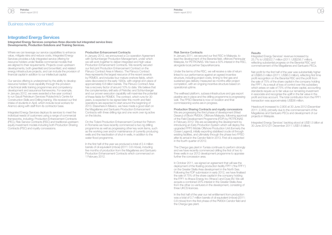## Business review continued

## Integrated Energy Services

Integrated Energy Services comprises three discrete but integrated service lines: Developments, Production Solutions and Training Services.

Where we can leverage our service capabilities to enhance value, mitigate risks and reduce costs, Integrated Energy Services provides a fully integrated service offering for resource holders under flexible commercial models that are aligned to their requirements. Projects cover upstream developments, both greenfield and brownfield, and related energy infrastructure projects, and can include the provision of financial capital in addition to our intellectual capital.

Our service offering is underpinned by the ability to develop resource holders' local capability through the provision of technical skills training programmes and competency development and assurance frameworks. For example, in January 2012, we were awarded a five-year contract to run Saudi Petroleum Services Polytechnic's Centre for Construction Skills and Drilling training. We received our first intake of students in April, which include local workers for Aramco along with staff from its contractor base.

Integrated Energy Services deploys its services to meet the individual needs of customers using a range of commercial frameworks, including: Production Enhancement Contracts (PEC), Risk Service Contracts (RSC) and traditional upstream equity investment models including both Production Sharing Contracts (PSC) and royalty concessions.

#### Production Enhancement Contracts

In January 2012, we announced a Co-operation Agreement with Schlumberger Production Management, under which we will work together to deliver integrated and high-value Production Enhancement Contracts. We recently secured our first joint Production Enhancement Contract on the Pánuco Contract Area in Mexico. The Pánuco Contract Area represents the largest resource of the recent awards by PEMEX, and includes four mature onshore fields, which were discovered in the early 1900s, with original oil in place of approximately 6.8 billion barrels. The Pánuco Contract Area has a recovery factor of around 10% to date. We believe that the complementary skill sets of Petrofac and Schlumberger and our proven execution capability will maximise the potential of these fields for PEMEX. The contract, which runs for 30 years, is expected to be signed later this month and field operations are expected to start around the beginning of 2013. Elsewhere in Mexico, we have made a good start on the Magallanes and Santuario Production Enhancement Contracts with three drilling rigs and one work over rig active on the blocks.

On the Ticleni Production Enhancement Contract for Petrom in Romania we have recently commenced a two rig drilling programme as well as progressing other key work items, such as the working over and/or maintenance of currently producing wells and the reactivation of shut-in wells, in addition to the water flood programme.

In the first half of the year we produced a total of 2.4 million barrels of oil equivalent (mboe) (2011: 0.6 mboe), including five months of production from the Magallanes and Santuario Production Enhancement Contracts which commenced on 1 February 2012.

#### Risk Service Contracts

In January 2011, we secured our first RSC in Malaysia, to lead the development of the Berantai field, offshore Peninsular Malaysia, for PETRONAS. We have a 50% interest in the RSC, alongside local partner SapuraKencana.

Under the terms of the RSC, we will receive a rate of return linked to our performance against an agreed incentive structure, including project costs, timing to first gas and sustained gas delivery measured six months after project completion, with an ongoing incentive structure based on operational uptime.

The wellhead platform, subsea infrastructure and gas export pipeline are in place and the drilling programme is progressing well. The FPSO Berantai is now on location and final commissioning works are in progress.

Production Sharing Contracts and royalty concessions

We are progressing the third phase of development (West Desaru) of Block PM304, Offshore Malaysia, following approval of the Field Development Programme (FDP) by PETRONAS in February 2012. We are accelerating the development by introducing an Early Production System which will deploy the upgraded FPF5 Mobile Offshore Production Unit (formerly the Ocean Legend), initially exporting stabilised crude oil through existing facilities, and ultimately through the phase two FPSO after its arrival in the Cendor field in 2013. First oil is expected in the fourth quarter of 2012.

The Chergui gas plant in Tunisia continues to perform strongly and we have recently commenced drilling the first of two to three wells in our 2012 development programme to appraise further the concession area.

In October 2011, we signed an agreement that will see the deployment of the floating production facility FPF1 ('the FPF1') on the Greater Stella Area development in the North Sea. Following the FDP submission in early 2012, we have finalised the sale of 75% of the share capital in the company holding the FPF1 to Ithaca Energy Inc ('Ithaca') and Dyas BV. We will acquire a combined 20% interest in the Greater Stella Area from the other co-venturers in the development, consisting of three UKCS licences.

In the first half of the year our net entitlement from production was a total of 0.7 million barrels of oil equivalent (mboe) (2011: 0.8 mboe) from the first phase of the PM304 Cendor field and the Chergui gas plant.

#### **Results**

Integrated Energy Services' revenue increased by 25.7% to US\$322.7 million (2011: US\$256.7 million), reflecting substantial progress on the Berantai RSC and commencement of the Magallanes and Santuario PECs.

Net profit for the first half of the year was substantially higher at US\$65.0 million (2011: US\$6.0 million), reflecting first time profit recognition on the Berantai RSC and the profit from the sale of 75% of the share capital in the company holding the FPF1. As a result of loss of control over this subsidiary which arises on sale of 75% of the share capital, accounting standards require us to fair value our remaining investment in associate and recognise the uplift in the fair value in the profit and loss account. The total contribution from the FPF1 transaction was approximately US\$36 million.

Headcount increased to 2,800 at 30 June 2012 (December 2011: 2,300), primarily due to the commencement of the Magallanes and Santuario PECs and development of our projects in Malaysia.

Integrated Energy Services' backlog stood at US\$1.5 billion at 30 June 2012 (31 December 2011: US\$1.6 billion).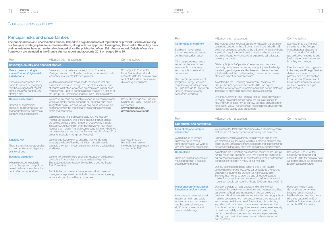# Business review continued

# Principal risks and uncertainties

The principal risks and uncertainties that could lead to a significant loss of reputation or prevent us from delivering our five-year strategic plan are summarised here, along with our approach to mitigating these risks. These key risks and uncertainties have not materially changed since the publication of our 2011 Annual report. Details of our risk framework are included in the Group's Annual report and accounts 2011 on pages 86 to 89.

| <b>Risk</b>                                                                                                                                                           | Mitigation and management                                                                                                                                                                                                                                                                                                                                                                                                                                                                                                                                                                                                                                                                                                      | Comments/links                                                                                                                   |
|-----------------------------------------------------------------------------------------------------------------------------------------------------------------------|--------------------------------------------------------------------------------------------------------------------------------------------------------------------------------------------------------------------------------------------------------------------------------------------------------------------------------------------------------------------------------------------------------------------------------------------------------------------------------------------------------------------------------------------------------------------------------------------------------------------------------------------------------------------------------------------------------------------------------|----------------------------------------------------------------------------------------------------------------------------------|
| Sovereign, country and financial market                                                                                                                               |                                                                                                                                                                                                                                                                                                                                                                                                                                                                                                                                                                                                                                                                                                                                |                                                                                                                                  |
| <b>Overexposure to single</b><br>market/country/higher-risk<br><b>jurisdictions</b>                                                                                   | Formal exposure limits are not set, but our Executive<br>Management and the Board consider our concentration risk<br>when they review entry into new projects.                                                                                                                                                                                                                                                                                                                                                                                                                                                                                                                                                                 | See pages 18 to 21 of the<br>Group's Annual report and<br>accounts 2011 for details of how<br>our ECOM and IES divisions are     |
| Excessive concentration to a<br>particular market or geography<br>may have a significant impact<br>on the delivery of our five-year<br>strategic plan.                | We take all reasonable measures to reduce and limit our<br>commercial exposure through the use of, for example, out<br>of country arbitration, advanced payments and careful cash<br>management. Specific consideration of this risk is a feature of<br>the Group Risk Committee and the Board Risk Committee.                                                                                                                                                                                                                                                                                                                                                                                                                 | diversifying our business.                                                                                                       |
| <b>Counterparty failure</b><br>Financial or commercial<br>exposure from the failure of key<br>financial institutions, customers,<br>partners or subcontractors.       | We aim to minimise our cashflow exposure on contracts and<br>where we deploy capital alongside our services, such as in<br>Integrated Energy Services, we will only do so where we are<br>comfortable with the counterparty risk and the contractual<br>terms and conditions.<br>With respect to financial counterparty risk, we regularly<br>monitor our exposure and ensure that our financial assets<br>are spread across a large number of creditworthy financial<br>institutions. Our Sovereign and Financial Market Risk Policy<br>requires that material financial counterparty risk is only held with<br>counterparties that are rated by Standard and Poor's as "A" or<br>better (or equivalent rating from Moody's). | See our Sovereign and Financial<br>Market Risk Policy - available on<br>our website:<br>www.petrofac.com/<br>governancedownloads |
| <b>Liquidity risk</b><br>There is a risk that we are unable<br>to meet our financial obligations<br>as they fall due.                                                 | We manage liquidity risk by ensuring that we maintain<br>an adequate level of liquidity in the form of cash, readily<br>available short-term investments or committed credit facilities<br>at all times.                                                                                                                                                                                                                                                                                                                                                                                                                                                                                                                       | See note 34 to the<br>financial statements of<br>the Group's Annual report<br>and accounts 2011.                                 |
| <b>Business disruption</b><br>We are exposed to potential<br>regime change and civil/political<br>unrest, civil war or sanctions that<br>could affect our operations. | We monitor carefully the changing landscape of political risk,<br>particularly for countries that are regarded as high risk.<br>This is also reviewed regularly by the Board and the Board<br>Risk Committee.<br>For high-risk countries our management will also seek to<br>manage our exposure in individual contracts, when agreeing<br>terms and conditions with our customers.                                                                                                                                                                                                                                                                                                                                            |                                                                                                                                  |

| <b>Risk</b>                                                                                                                                                                                                                                                                                                                                                                                                                                                         | Mitigation and management                                                                                                                                                                                                                                                                                                                                                                                                                                                                                                                                                                                                                                                                                                                                                                                                                                                                                                                                                                                                                                                                                                                                                           | Comments/links                                                                                                                                                                                                                                                                                                                                                                                                                                                             |
|---------------------------------------------------------------------------------------------------------------------------------------------------------------------------------------------------------------------------------------------------------------------------------------------------------------------------------------------------------------------------------------------------------------------------------------------------------------------|-------------------------------------------------------------------------------------------------------------------------------------------------------------------------------------------------------------------------------------------------------------------------------------------------------------------------------------------------------------------------------------------------------------------------------------------------------------------------------------------------------------------------------------------------------------------------------------------------------------------------------------------------------------------------------------------------------------------------------------------------------------------------------------------------------------------------------------------------------------------------------------------------------------------------------------------------------------------------------------------------------------------------------------------------------------------------------------------------------------------------------------------------------------------------------------|----------------------------------------------------------------------------------------------------------------------------------------------------------------------------------------------------------------------------------------------------------------------------------------------------------------------------------------------------------------------------------------------------------------------------------------------------------------------------|
| <b>Commodity or currency</b><br>Significant movements in<br>exchange rates could impact<br>our financial performance.<br>Oil & gas prices may have an<br>impact on the level of new<br>investment in the industry<br>and may affect demand for<br>our services.<br>The financial performance of<br>Integrated Energy Services is<br>more leveraged to the price of<br>oil & gas through its Production<br><b>Sharing Contracts/royalty</b><br>concession positions. | The majority of our revenues are denominated in US dollars or<br>currencies pegged to the US dollar. In contracts priced in US<br>dollars (or currencies pegged to the US dollar) where the Group<br>is procuring equipment or incurring costs in other currencies,<br>we aim to hedge fully transactional exposures using forward<br>currency contracts.<br>Offshore Projects & Operations' revenues and costs are<br>principally denominated in sterling. Our policy is not to hedge<br>the sterling profits generated by these activities as they are<br>substantially matched by the sterling costs of our corporate<br>office and other UK-based activities.<br>As detailed in the 'Operating environment' section of the<br>Group's Annual report and accounts 2011, we expect<br>demand for our services to remain robust and not be materially<br>impacted by short-term fluctuation in oil & gas prices.<br>Under our Sovereign and Financial Market Risk Policy we aim<br>to hedge, on a rolling annual basis, the net profit exposure<br>resulting from at least 75% of our low-estimate of hydrocarbon<br>production. We will not undertake hedging until a development | See note 34 to the financial<br>statements of the Group's<br>Annual report and accounts<br>2011 for details of our oil &<br>gas derivative instruments and<br>foreign currency exposures and<br>how they are managed.<br>Over the medium-term, growth<br>in the Integrated Energy Services<br>division is expected to be<br>primarily driven by Production<br>Enhancement Contracts and<br>Risk Service Contracts, where<br>we have no direct oil & gas<br>price exposure. |
|                                                                                                                                                                                                                                                                                                                                                                                                                                                                     | has achieved steady-state production.                                                                                                                                                                                                                                                                                                                                                                                                                                                                                                                                                                                                                                                                                                                                                                                                                                                                                                                                                                                                                                                                                                                                               |                                                                                                                                                                                                                                                                                                                                                                                                                                                                            |
| <b>Risk</b>                                                                                                                                                                                                                                                                                                                                                                                                                                                         | Mitigation and management                                                                                                                                                                                                                                                                                                                                                                                                                                                                                                                                                                                                                                                                                                                                                                                                                                                                                                                                                                                                                                                                                                                                                           | Comments/links                                                                                                                                                                                                                                                                                                                                                                                                                                                             |

| <b>Operational and contractual</b>                                                                                                                                                                                                                   |                                                                                                                                                                                                                                                                                                                                                                                                                                                                                                                                                                                                                                                                                                                                 |                                                                                                                                                                                                                  |
|------------------------------------------------------------------------------------------------------------------------------------------------------------------------------------------------------------------------------------------------------|---------------------------------------------------------------------------------------------------------------------------------------------------------------------------------------------------------------------------------------------------------------------------------------------------------------------------------------------------------------------------------------------------------------------------------------------------------------------------------------------------------------------------------------------------------------------------------------------------------------------------------------------------------------------------------------------------------------------------------|------------------------------------------------------------------------------------------------------------------------------------------------------------------------------------------------------------------|
| <b>Loss of major customer</b><br>relationship                                                                                                                                                                                                        | We monitor the total value of contracts by customer to ensure<br>that we are not overly dependent upon any one customer.                                                                                                                                                                                                                                                                                                                                                                                                                                                                                                                                                                                                        |                                                                                                                                                                                                                  |
| Overexposure to any one<br>customer could have a<br>significant impact if we were to<br>lose that customer relationship.                                                                                                                             | Furthermore, we have a formal programme to ensure that<br>we maintain a regular dialogue with our major customers at a<br>senior level to understand their future plans and to understand<br>any concerns they may have with regard to our performance.                                                                                                                                                                                                                                                                                                                                                                                                                                                                         |                                                                                                                                                                                                                  |
| <b>Competition</b><br>There is a risk that we lose our<br>market position in a strategic<br>geography or market.                                                                                                                                     | As noted in the 'Operating environment' section of the Group's<br>Annual report and accounts 2011, we expect the demand for<br>our services to remain robust over the long-term, albeit we face<br>significant competition in many of our markets.<br>Our five-year strategic plans assume that a high level of<br>competition continues, however, our geographic and service<br>expansion, including the provision of Integrated Energy<br>Services, has helped to grow the size of the addressable<br>market for our services, and we remain confident that we will<br>more than double our recurring Group 2010 earnings by 2015.                                                                                            | See pages 20 to 21 of the<br>Group's Annual report and<br>accounts 2011 for details of how<br>we plan to deliver our Integrated<br>Energy Services strategy.                                                     |
| Major environmental, asset<br>integrity or accident event<br>A serious environmental, asset<br>integrity or health and safety<br>incident on any of our projects<br>has the potential to cause<br>significant commercial and<br>reputational damage. | Our strong culture of health, safety and environmental<br>awareness is central to our operational and business activities,<br>our system of business management and our delivery of<br>quality and business excellence. As we enter new geographical<br>markets, sometimes with new customers and partners, and<br>assume responsibility for new infrastructure, it is particularly<br>important that our focus on these issues is maintained. Our<br>financial exposure to a significant environmental, asset integrity,<br>or health and safety incident is generally mitigated through<br>our commercial arrangements and insurance programme,<br>although such an incident may have an adverse impact on<br>our reputation. | Recorded incident data<br>demonstrates our ongoing<br>improvement in managing<br>health safety and environmental<br>risks (see pages 60 to 63 of<br>the Group's Annual report and<br>accounts 2011 for details). |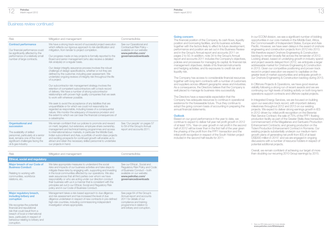# Business review continued

| <b>Risk</b>                                                                                                                                                                                                 | Mitigation and management                                                                                                                                                                                                                                                                                                                                                                                                                                                                   | Comments/links                                                                                                                |
|-------------------------------------------------------------------------------------------------------------------------------------------------------------------------------------------------------------|---------------------------------------------------------------------------------------------------------------------------------------------------------------------------------------------------------------------------------------------------------------------------------------------------------------------------------------------------------------------------------------------------------------------------------------------------------------------------------------------|-------------------------------------------------------------------------------------------------------------------------------|
| <b>Contract performance</b><br>Our financial performance could<br>be significantly affected by the<br>performance of a relatively small<br>number of large contracts.                                       | We have a strong track-record of successful project execution<br>which reflects our rigorous approach to risk identification and<br>mitigation, from tender to project completion.<br>Our progress made on key projects is formally reported to the<br>Board and senior management (who also receive a detailed<br>risk analysis) on a regular basis.                                                                                                                                       | See our Operational and<br>Contractual Risk Policy -<br>available on our website:<br>www.petrofac.com/<br>governancedownloads |
|                                                                                                                                                                                                             | Our design integrity assurance process involves the robust<br>challenge of design specifications, whether or not they are<br>defined by the customer, including peer assessment. We<br>undertake ongoing reviews of integrity risk throughout the life<br>of a project.                                                                                                                                                                                                                     |                                                                                                                               |
|                                                                                                                                                                                                             | Our subcontractor risk management strategy involves the<br>retention of competent subcontractors with a track record<br>of delivery. We have a number of strong subcontractor<br>relationships with proven high quality companies that we seek<br>to work with wherever possible.                                                                                                                                                                                                           |                                                                                                                               |
|                                                                                                                                                                                                             | We seek to avoid the acceptance of any liabilities that are<br>unquantifiable or for which we could not reasonably be<br>regarded as responsible, including losses of a consequential<br>nature. We monitor the adequacy of insurance provision and<br>the extent to which we can bear the financial consequences of<br>a catastrophe.                                                                                                                                                      |                                                                                                                               |
| <b>Organisational and</b><br>succession<br>The availability of skilled<br>personnel, particularly at a senior<br>level, remains one of the most<br>significant challenges facing the<br>oil & gas industry. | We remain confident that our policies to promote and reward<br>on merit, targeted, but extensive, employee share ownership,<br>management and technical training programmes and access<br>to international labour markets, in particular the Middle East,<br>Indian subcontinent and Asia, a portfolio of world-class projects<br>and exciting prospects for continued growth will enable us to<br>attract and retain the necessary skilled personnel to undertake<br>our projects in hand. | See 'Our people' on pages 57<br>to 59 of the Group's Annual<br>report and accounts 2011.                                      |

| <b>Risk</b>                                                                                                                                                                                                                                                                             | Mitigation and management                                                                                                                                                                                                                                                                                                                                                                                                                                                                                                                                                | Comments/links                                                                                                                                                             |
|-----------------------------------------------------------------------------------------------------------------------------------------------------------------------------------------------------------------------------------------------------------------------------------------|--------------------------------------------------------------------------------------------------------------------------------------------------------------------------------------------------------------------------------------------------------------------------------------------------------------------------------------------------------------------------------------------------------------------------------------------------------------------------------------------------------------------------------------------------------------------------|----------------------------------------------------------------------------------------------------------------------------------------------------------------------------|
| <b>Ethical, social and regulatory</b>                                                                                                                                                                                                                                                   |                                                                                                                                                                                                                                                                                                                                                                                                                                                                                                                                                                          |                                                                                                                                                                            |
| Major breach of our Code of<br><b>Business Conduct</b><br>Relating to working with<br>communities, workforce<br>relations, etc.                                                                                                                                                         | We take appropriate measures to understand the social<br>risks and impacts of our business activities and take steps to<br>mitigate these risks by engaging with, supporting and investing<br>in the local communities affected by our operations. We also<br>seek assurances that all third parties over whom we have<br>responsibility or who are acting under our direction conduct<br>their business with us in a manner that is consistent with the<br>principles set out in our Ethical, Social and Requlatory Risk<br>policy and in our Code of Business Conduct. | See our Ethical, Social and<br>Regulatory Risk Policy and Code<br>of Business Conduct - both<br>available on our website:<br>www.petrofac.com/<br>governancedownloads      |
| Major regulatory breach,<br>including bribery and<br>corruption<br>We recognise the potential<br>financial and reputational<br>risk that could result from a<br>breach of local or international<br>laws, particularly in respect of<br>behaviour relating to bribery and<br>comuption. | Management takes a risk-based approach to due diligence<br>and risk assessment and has increased the level of due<br>diligence undertaken in respect of new contracts in pre-defined<br>high-risk countries, including commissioning independent<br>investigation where appropriate.                                                                                                                                                                                                                                                                                     | See page 64 of the Group's<br>Annual report and accounts<br>2011 for details of our<br>compliance and training<br>programme in relation to<br>anti-bribery and corruption. |

#### Going concern

The financial position of the Company, its cash flows, liquidity position and borrowing facilities, and its business activities, together with the factors likely to affect its future development, performance and position are set out in this Business Review and in the Group's Annual report and accounts 2011 on pages 2 to 50. In addition, note 34 to the Group's Annual report and accounts 2011 includes the Company's objectives, policies and processes for managing its capital; its financial risk management objectives; details of its financial instruments and hedging activities; and its exposures to credit risk and liquidity risk.

The Company has access to considerable financial resources together with long-term contracts with a number of customers and suppliers across different geographic areas and industries. As a consequence, the Directors believe that the Company is well placed to manage its business risks successfully.

The Directors have a reasonable expectation that the Company has adequate resources to continue in operational existence for the foreseeable future. Thus they continue to adopt the going concern basis of accounting in preparing the annual financial statements.

#### **Outlook**

Based on our good performance in the year to date, we continue to expect to deliver full year net profit growth in 2012 of at least 15%. Year-on-year growth in net profit in the second half of 2012 will be lower than in the first half of the year given the phasing of the profit from the FPF1 transaction and the initial profit recognition in respect of the South Yoloten project included in the second half results for 2011.

In our ECOM division, we see a significant number of bidding opportunities in our core markets in the Middle East, Africa, the Commonwealth of Independent States, Europe and Asia Pacific. However, we have seen delays in the award of onshore engineering and construction projects from 2012 into 2013. We therefore expect Onshore Engineering & Construction backlog to remain broadly flat across the remainder of 2012. Looking ahead, based on underlying growth in industry spend and project awards delayed from 2012, we anticipate a larger addressable market for Onshore Engineering & Construction in 2013. Given our competitive positioning and proven track record in project execution we expect to capitalise on the greater level of market opportunities and anticipate growth in our Onshore Engineering & Construction backlog during 2013.

In Offshore Projects & Operations, we have good revenue visibility following a strong run of recent awards and we are continuing our high levels of bidding activity on both long-term operations support contracts and offshore capital projects.

In Integrated Energy Services, we are focused on building upon our execution track record, with important delivery milestones throughout 2012 and 2013 on our existing projects. We expect to deliver strong earnings growth in IES in 2012 driven by: initial profit recognition on the Berantai Risk Service Contract; the sale of 75% of the FPF1 floating production facility as part of the Greater Stella Area transaction; commencement of the Magallanes and Santuario Production Enhancement Contracts; and growing production on the Ticleni Production Enhancement Contract in Romania. Our existing projects substantially underpin our medium-term growth plans of generating net profit from IES of at least US\$300 million in 2015<sup>1</sup> and we are engaged in ongoing discussions with a number of resource holders in respect of potential additional projects.

Overall, we remain confident of achieving our target of more than doubling our recurring 2010 Group earnings by 2015.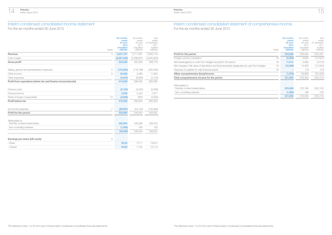# Interim condensed consolidated income statement

For the six months ended 30 June 2012

| Notes                                                        | <b>Six months</b><br>ended<br>30 June<br>2012<br><b>Unaudited</b><br><b>US\$'000</b> | Six months<br>ended<br>30 June<br>2011<br>Unaudited<br>US\$'000 | Year<br>ended<br>31 December<br>2011<br>Audited<br>US\$'000 |
|--------------------------------------------------------------|--------------------------------------------------------------------------------------|-----------------------------------------------------------------|-------------------------------------------------------------|
| Revenue<br>4                                                 | 3,241,757                                                                            | 2,711,081                                                       | 5,800,719                                                   |
| Cost of sales                                                | (2,687,528)                                                                          | (2,288,831)                                                     | (4,840,943)                                                 |
| <b>Gross profit</b>                                          | 554,229                                                                              | 422,250                                                         | 959,776                                                     |
| Selling, general and administration expenses<br>5            | (176, 384)                                                                           | (118, 199)                                                      | (283, 392)                                                  |
| Other income<br>6                                            | 45,638                                                                               | 3,069                                                           | 11,600                                                      |
| Other expenses                                               | (9,434)                                                                              | (8,660)                                                         | (5, 104)                                                    |
| Profit from operations before tax and finance income/(costs) | 414,049                                                                              | 298,460                                                         | 682,880                                                     |
| Finance costs                                                | (2, 120)                                                                             | (3,422)                                                         | (6,599)                                                     |
| Finance income                                               | 3,236                                                                                | 5,243                                                           | 7,877                                                       |
| Share of losses of associates<br>13                          | (2,629)                                                                              | (687)                                                           | (3,593)                                                     |
| Profit before tax                                            | 412,536                                                                              | 299.594                                                         | 680,565                                                     |
| 7<br>Income tax expense                                      | (88, 867)                                                                            | (53, 140)                                                       | (140,984)                                                   |
| Profit for the period                                        | 323,669                                                                              | 246,454                                                         | 539,581                                                     |
| Attributable to:<br>Petrofac Limited shareholders            | 325,264                                                                              | 246.286                                                         | 539,425                                                     |
| Non-controlling interests                                    | (1,595)                                                                              | 168                                                             | 156                                                         |
|                                                              | 323,669                                                                              | 246,454                                                         | 539,581                                                     |
| Earnings per share (US cents)<br>8                           |                                                                                      |                                                                 |                                                             |
| - Basic                                                      | 95.55                                                                                | 72.71                                                           | 159.01                                                      |
| $-$ Diluted                                                  | 94.82                                                                                | 71.84                                                           | 157.13                                                      |
|                                                              |                                                                                      |                                                                 |                                                             |

# Interim condensed consolidated statement of comprehensive income For the six months ended 30 June 2012

Petrofac Interim report 2012

| Notes                                                                                              | <b>Six months</b><br>ended<br>30 June<br>2012<br><b>Unaudited</b><br><b>US\$'000</b> | Six months<br>ended<br>30 June<br>2011<br>Unaudited<br>US\$'000 | Year<br>ended<br>31 December<br>2011<br>Audited<br>US\$'000 |
|----------------------------------------------------------------------------------------------------|--------------------------------------------------------------------------------------|-----------------------------------------------------------------|-------------------------------------------------------------|
| Profit for the period                                                                              | 323,669                                                                              | 246.454                                                         | 539,581                                                     |
| 18<br>Foreign currency translation                                                                 | (2,900)                                                                              | 9,934                                                           | (15, 927)                                                   |
| 18<br>Net losses/(gains) on cash flow hedges recycled in the period                                | 11,514                                                                               | 5,980                                                           | (3,675)                                                     |
| 18<br>Net changes in fair value of derivatives and financial assets designated as cash flow hedges | (10,590)                                                                             | 14,055                                                          | (13,590)                                                    |
| 18<br>Disposal of available-for-sale financial assets                                              |                                                                                      | (70)                                                            | (70)                                                        |
| Other comprehensive (loss)/income                                                                  | (1,976)                                                                              | 29,899                                                          | (33, 262)                                                   |
| Total comprehensive income for the period                                                          | 321,693                                                                              | 276.353                                                         | 506,319                                                     |
| Attributable to:<br>Petrofac Limited shareholders                                                  | 323,288                                                                              | 276,185                                                         | 506,163                                                     |
| Non-controlling interests                                                                          | (1,595)                                                                              | 168                                                             | 156                                                         |
|                                                                                                    | 321,693                                                                              | 276.353                                                         | 506.319                                                     |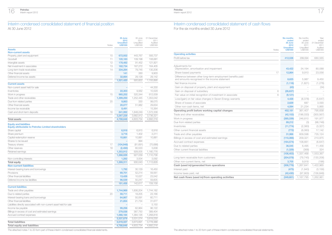

# Interim condensed consolidated statement of financial position

At 30 June 2012

|                                                                      | 30 June<br>2012                     | 30 June<br>2011          | 31 December<br>2011 |
|----------------------------------------------------------------------|-------------------------------------|--------------------------|---------------------|
| Notes                                                                | <b>Unaudited</b><br><b>US\$'000</b> | Unaudited<br>US\$'000    | Audited<br>US\$'000 |
| <b>Assets</b>                                                        |                                     |                          |                     |
| <b>Non-current assets</b>                                            |                                     |                          |                     |
| Property, plant and equipment<br>10                                  | 672,932                             | 443,767                  | 593.737             |
| 11<br>Goodwill                                                       | 120,183                             | 109,198                  | 106,681             |
| 12<br>Intangible assets                                              | 178,482                             | 91,452                   | 121,821             |
| Net investment in associates<br>13                                   | 182,734                             | 167,272                  | 164,405             |
| Long-term trade receivables<br>14                                    | 334,284                             | 79,745                   | 130,206             |
| Other financial assets                                               | 141                                 | 260                      | 9.903               |
| Deferred income tax assets                                           | 32,664                              | 29,128                   | 29,142              |
|                                                                      | 1,521,420                           | 920.822                  | 1,155,895           |
| <b>Current assets</b>                                                |                                     |                          |                     |
| Non-current asset held for sale                                      |                                     |                          | 44,330              |
| Inventories                                                          | 22,303                              | 9,562                    | 10,529              |
| Work in progress<br>15                                               | 965,252                             | 520,344                  | 612,009             |
| Trade and other receivables                                          | 1,399,250                           | 1,252,445                | 1,353,042           |
| Due from related parties<br>20                                       | 9,863                               | 330                      | 99,075              |
| Other financial assets                                               | 20,077                              | 51,982                   | 29,634              |
| Income tax receivable                                                | 8,491                               | ÷                        | 15,364              |
| Cash and short-term deposits<br>16                                   | 841,992                             | 1,848,249                | 1,572,338           |
|                                                                      | 3,267,228                           | 3.682.912                | 3.736.321           |
| <b>Total assets</b>                                                  | 4.788.648                           | 4.603.734                | 4.892.216           |
| <b>Equity and liabilities</b>                                        |                                     |                          |                     |
| <b>Equity attributable to Petrofac Limited shareholders</b>          |                                     |                          |                     |
| Share capital                                                        | 6,918                               | 6.915                    | 6.916               |
| Share premium                                                        | 3,716                               | 1,402                    | 2,211               |
| Capital redemption reserve                                           | 10,881                              | 10,881                   | 10,881              |
| Shares to be issued                                                  |                                     | 994                      |                     |
| Treasury shares<br>17                                                | (104, 948)                          | (81, 691)                | (75,686)            |
| 18<br>Other reserves                                                 | (2,450)                             | 60,533                   | 5,638               |
| Retained earnings                                                    | 1,353,912                           | 928,005                  | 1,160,776           |
|                                                                      | 1,268,029                           | 927,039                  | 1,110,736           |
| Non-controlling interests                                            | 1,282                               | 3,004                    | 3.092               |
| <b>Total equity</b>                                                  | 1,269,311                           | 930,043                  | 1,113,828           |
| <b>Non-current liabilities</b>                                       |                                     |                          |                     |
| Interest-bearing loans and borrowings                                | 1,792                               | 30.129                   | 16,450              |
| Provisions                                                           | 69,701                              | 52,214                   | 59,561              |
| Other financial liabilities                                          | 13,426                              | 10,027                   | 23,542              |
| Deferred income tax liabilities                                      | 96,539                              | 50,247                   | 59,605              |
|                                                                      | 181,458                             | 142,617                  | 159,158             |
| <b>Current liabilities</b>                                           |                                     |                          |                     |
| Trade and other payables                                             | 1,744,969                           | 1,606,204                | 1,744,182           |
| 20<br>Due to related parties                                         | 59,711                              | 18,205                   | 23,166              |
| Interest-bearing loans and borrowings                                | 64,867                              | 50,091                   | 60,711              |
| Other financial liabilities                                          | 21,854                              | 21,734                   | 31,677              |
| Liabilities directly associated with non-current asset held for sale |                                     | $\overline{\phantom{0}}$ | 5,150               |
| Income tax payable                                                   | 99,256                              | 62.964                   | 96.122              |
| Billings in excess of cost and estimated earnings                    | 279,038                             | 387,750                  | 389,404             |
| Accrued contract expenses                                            | 1,068,184                           | 1,384,126                | 1,268,818           |
|                                                                      | 3,337,879                           | 3,531,074                | 3,619,230           |
| <b>Total liabilities</b>                                             | 3,519,337                           | 3,673,691                | 3,778,388           |
| <b>Total equity and liabilities</b>                                  | 4,788,648                           | 4,603,734                | 4,892,216           |

#### Petrofac Interim report 2012

# Interim condensed consolidated statement of cash flows

For the six months ended 30 June 2012

|                                                                                                               | <b>Six months</b><br>ended | Six months<br>ended | Year<br>ended       |
|---------------------------------------------------------------------------------------------------------------|----------------------------|---------------------|---------------------|
|                                                                                                               | 30 June<br>2012            | 30 June<br>2011     | 31 December<br>2011 |
|                                                                                                               | <b>Unaudited</b>           | Unaudited           | Audited             |
| Notes                                                                                                         | <b>US\$'000</b>            | US\$'000            | US\$'000            |
| <b>Operating activities</b>                                                                                   |                            |                     |                     |
| Profit before tax                                                                                             | 412,536                    | 299,594             | 680,565             |
| Adjustments for:<br>Depreciation, amortisation and impairment                                                 | 43,422                     | 34,194              | 80.088              |
| 17<br>Share-based payments                                                                                    | 12,864                     | 9,910               | 23,056              |
| Difference between other long-term employment benefits paid<br>and amounts recognised in the income statement | 8,625                      | 5,987               | 9,450               |
| Net finance income                                                                                            | (1, 116)                   | (1,821)             | (1,278)             |
| Gain on disposal of property, plant and equipment                                                             | (43)                       |                     | (34)                |
| Gain on disposal of subsidiary<br>6                                                                           | (26, 637)                  |                     |                     |
| Fair value on initial recognition of investment in associate<br>6                                             | (9, 121)                   |                     |                     |
| Loss/(gain) on fair value changes in Seven Energy warrants                                                    | 4,428                      | (8,378)             | (5,647)             |
| Share of losses of associate                                                                                  | 2,629                      | 687                 | 3,593               |
| Other non-cash items, net                                                                                     | 4,594                      | 21.234              | 5.865               |
| Operating profit before working capital changes                                                               | 452,181                    | 361,407             | 795,658             |
| Trade and other receivables                                                                                   | (42, 153)                  | (196, 033)          | (300, 567)          |
| Work in progress                                                                                              | (385, 339)                 | 246,810             | 191,977             |
| Due from related parties                                                                                      | 89,212                     | (3)                 | (98, 748)           |
| Inventories                                                                                                   | (11, 774)                  | (2,360)             | (3, 327)            |
| Other current financial assets                                                                                | (772)                      | (6,060)             | 17,142              |
| Trade and other payables                                                                                      | 31,966                     | 609,598             | 735,124             |
| Billings in excess of cost and estimated earnings                                                             | (110, 366)                 | 209.321             | 210,975             |
| Accrued contract expenses                                                                                     | (164, 574)                 | 108,661             | (6, 647)            |
| Due to related parties                                                                                        | 36,545                     | 6.495               | 11,456              |
| Other current financial liabilities                                                                           | (1, 329)                   | (368)               | 324                 |
|                                                                                                               | (106, 403)                 | 1,337,468           | 1,553,367           |
| Long-term receivable from customers                                                                           | (204, 078)                 | (79, 745)           | (130, 206)          |
| Other non-current items, net                                                                                  | 3,705                      | 9.918               | (196)               |
| Cash (used in)/generated from operations                                                                      | (306, 776)                 | 1,267,641           | 1,422,965           |
| Interest paid                                                                                                 | (475)                      | (1, 943)            | (3, 156)            |
| Income taxes paid, net                                                                                        | (42, 430)                  | (97,903)            | (156, 848)          |
| Net cash flows (used in)/from operating activities                                                            | (349, 681)                 | 1,167,795           | 1,262,961           |

The attached notes 1 to 20 form part of these interim condensed consolidated financial statements. The attached notes 1 to 20 form part of these interim condensed consolidated financial statements.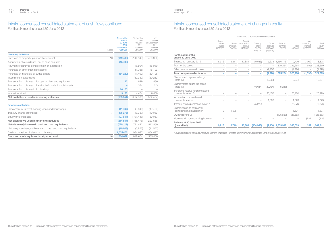

## Interim condensed consolidated statement of cash flows continued

For the six months ended 30 June 2012

| Notes                                                         | Six months<br>ended<br>30 June<br>2012<br><b>Unaudited</b><br><b>US\$'000</b> | Six months<br>ended<br>30 June<br>2011<br>Unaudited<br>US\$'000 | Year<br>ended<br>31 December<br>2011<br>Audited<br>US\$'000 |
|---------------------------------------------------------------|-------------------------------------------------------------------------------|-----------------------------------------------------------------|-------------------------------------------------------------|
| <b>Investing activities</b>                                   |                                                                               |                                                                 |                                                             |
| Purchase of property, plant and equipment<br>10               | (149, 480)                                                                    | (144, 849)                                                      | (420, 360)                                                  |
| Acquisition of subsidiaries, net of cash acquired             | (15, 490)                                                                     |                                                                 |                                                             |
| Payment of deferred consideration on acquisition              |                                                                               | (15,804)                                                        | (15,969)                                                    |
| Purchase of other intangible assets                           |                                                                               | (1,088)                                                         | (5, 722)                                                    |
| Purchase of intangible oil & gas assets                       | (54, 220)                                                                     | (11, 492)                                                       | (39, 728)                                                   |
| Investment in associates                                      |                                                                               | (50, 359)                                                       | (50, 282)                                                   |
| Proceeds from disposal of property, plant and equipment       | 43                                                                            | 829                                                             | 886                                                         |
| Proceeds from disposal of available-for-sale financial assets |                                                                               | 374                                                             | 243                                                         |
| Proceeds from disposal of subsidiary                          | 60,160                                                                        |                                                                 |                                                             |
| Interest received                                             | 3,136                                                                         | 4,484                                                           | 8,468                                                       |
| Net cash flows used in investing activities                   | (155, 851)                                                                    | (217,905)                                                       | (522, 464)                                                  |
| <b>Financing activities</b>                                   |                                                                               |                                                                 |                                                             |
| Repayment of interest-bearing loans and borrowings            | (11, 467)                                                                     | (9.646)                                                         | (19, 489)                                                   |
| Treasury shares purchased<br>17                               | (75, 276)                                                                     | (47, 387)                                                       | (49,062)                                                    |
| Equity dividends paid                                         | (127, 844)                                                                    | (101, 443)                                                      | (159,087)                                                   |
| Net cash flows used in financing activities                   | (214, 587)                                                                    | (158, 476)                                                      | (227, 638)                                                  |
| Net (decrease)/increase in cash and cash equivalents          | (720, 119)                                                                    | 791,413                                                         | 512,859                                                     |
| Net foreign exchange difference on cash and cash equivalents  | (10,648)                                                                      | (6, 856)                                                        | (11, 550)                                                   |
| Cash and cash equivalents at 1 January                        | 1,535,406                                                                     | 1,034,097                                                       | 1,034,097                                                   |
| Cash and cash equivalents at period end<br>16                 | 804,639                                                                       | 1,818,654                                                       | 1,535,406                                                   |
|                                                               |                                                                               |                                                                 |                                                             |

## Interim condensed consolidated statement of changes in equity For the six months ended 30 June 2012

Petrofac Interim report 2012

|                                                             |                                                      | Attributable to Petrofac Limited Shareholders |                                              |                                                     |                                            |                                  |                   |                                              |                             |
|-------------------------------------------------------------|------------------------------------------------------|-----------------------------------------------|----------------------------------------------|-----------------------------------------------------|--------------------------------------------|----------------------------------|-------------------|----------------------------------------------|-----------------------------|
|                                                             | <b>Issued</b><br>share<br>capital<br><b>US\$'000</b> | Share<br>premium<br><b>US\$'000</b>           | Capital<br>redemption<br>reserve<br>US\$'000 | *Treasurv<br>shares<br><b>US\$'000</b><br>(note 17) | Other<br>reserves<br>US\$'000<br>(note 18) | Retained<br>earnings<br>US\$'000 | Total<br>US\$'000 | Non-<br>controllina<br>interests<br>US\$'000 | Total<br>equity<br>US\$'000 |
| For the six months<br>ended 30 June 2012                    |                                                      |                                               |                                              |                                                     |                                            |                                  |                   |                                              |                             |
| Balance at 1 January 2012                                   | 6.916                                                | 2.211                                         | 10.881                                       | (75.686)                                            | 5.638                                      | 1,160,776                        | 1,110,736         | 3.092                                        | 1,113,828                   |
| Profit for the period                                       |                                                      |                                               |                                              |                                                     |                                            | 325,264                          | 325,264           | (1,595)                                      | 323,669                     |
| Other comprehensive income                                  |                                                      |                                               |                                              |                                                     | (1,976)                                    |                                  | (1,976)           |                                              | (1,976)                     |
| Total comprehensive income                                  |                                                      |                                               |                                              |                                                     | (1,976)                                    | 325,264                          | 323,288           | (1,595)                                      | 321,693                     |
| Share-based payments charge<br>(note $17$ )                 |                                                      |                                               |                                              |                                                     | 12.864                                     |                                  | 12.864            |                                              | 12.864                      |
| Shares vested during the period<br>(note 17)                |                                                      |                                               |                                              | 46.014                                              | (40, 769)                                  | (5, 245)                         |                   |                                              |                             |
| Transfer to reserve for share-based<br>payments (note 17)   |                                                      |                                               |                                              |                                                     | 20,470                                     |                                  | 20.470            |                                              | 20,470                      |
| Income tax on share-based<br>payments reserve               |                                                      |                                               |                                              |                                                     | 1.323                                      |                                  | 1.323             |                                              | 1,323                       |
| Treasury shares purchased (note 17)                         |                                                      |                                               |                                              | (75, 276)                                           |                                            |                                  | (75, 276)         |                                              | (75, 276)                   |
| Shares issued as payment of<br>consideration on acquisition | $\overline{c}$                                       | 1.505                                         |                                              |                                                     |                                            |                                  | 1,507             |                                              | 1,507                       |
| Dividends (note 9)                                          |                                                      |                                               |                                              |                                                     |                                            | (126, 883)                       | (126, 883)        |                                              | (126, 883)                  |
| Movement in non-controlling interests                       |                                                      |                                               |                                              |                                                     |                                            |                                  |                   | (215)                                        | (215)                       |
| Balance at 30 June 2012<br>(unaudited)                      | 6,918                                                | 3.716                                         | 10,881                                       | (104, 948)                                          |                                            | (2,450) 1,353,912 1,268,029      |                   |                                              | 1.282 1.269.311             |

\*Shares held by Petrofac Employee Benefit Trust and Petrofac Joint Venture Companies Employee Benefit Trust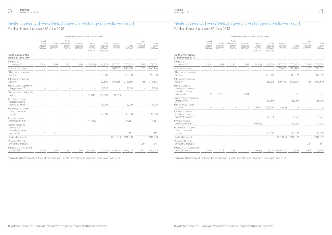

# Interim condensed consolidated statement of changes in equity continued

For the six months ended 30 June 2012

|                                                                   |                                               |                                     |                                              | Attributable to Fetrolac Lifflited of later loiders. |                                                        |                                                   |                                  |                   |                                              |                             |
|-------------------------------------------------------------------|-----------------------------------------------|-------------------------------------|----------------------------------------------|------------------------------------------------------|--------------------------------------------------------|---------------------------------------------------|----------------------------------|-------------------|----------------------------------------------|-----------------------------|
|                                                                   | <b>Issued</b><br>share<br>capital<br>US\$'000 | Share<br>premium<br><b>US\$'000</b> | Capital<br>redemption<br>reserve<br>US\$'000 | Shares to<br>be issued<br>US\$'000                   | *Treasury<br>shares<br><b>US\$'000</b><br>(note $17$ ) | Other<br>reserves<br><b>US\$'000</b><br>(note 18) | Retained<br>earnings<br>US\$'000 | Total<br>US\$'000 | Non-<br>controlling<br>interests<br>US\$'000 | Total<br>equity<br>US\$'000 |
| For the six months<br>ended 30 June 2011                          |                                               |                                     |                                              |                                                      |                                                        |                                                   |                                  |                   |                                              |                             |
| Balance at<br>1 January 2011                                      | 6,914                                         | 992                                 | 10,881                                       | 994                                                  | (65, 317)                                              | 34,728                                            | 787,270                          | 776,462           | 2,592                                        | 779,054                     |
| Profit for the period                                             |                                               |                                     |                                              |                                                      |                                                        |                                                   | 246,286                          | 246,286           | 168                                          | 246,454                     |
| Other comprehensive<br>income                                     |                                               |                                     |                                              |                                                      |                                                        | 29.899                                            |                                  | 29.899            |                                              | 29,899                      |
| Total comprehensive<br>income                                     |                                               |                                     |                                              |                                                      |                                                        | 29.899                                            | 246,286                          | 276,185           | 168                                          | 276,353                     |
| Share-based payments<br>charge (note 17)                          |                                               |                                     |                                              |                                                      |                                                        | 9,910                                             |                                  | 9,910             |                                              | 9,910                       |
| Shares vested during the<br>period                                |                                               |                                     |                                              |                                                      | 31,013                                                 | (27, 250)                                         | (3,763)                          |                   |                                              |                             |
| Transfer to reserve<br>for share-based<br>payments (note 17)      |                                               |                                     |                                              |                                                      |                                                        | 16,906                                            |                                  | 16,906            |                                              | 16,906                      |
| Income tax on share<br>based payments<br>reserve                  |                                               |                                     |                                              |                                                      |                                                        | (3,660)                                           |                                  | (3,660)           |                                              | (3,660)                     |
| <b>Treasury shares</b><br>purchased (note 17)                     |                                               |                                     |                                              |                                                      | (47, 387)                                              |                                                   |                                  | (47, 387)         |                                              | (47, 387)                   |
| Shares issued as<br>payment of<br>consideration on<br>acquisition | 1                                             | 410                                 |                                              |                                                      |                                                        |                                                   |                                  | 411               |                                              | 411                         |
| Dividends (note 9)                                                |                                               |                                     |                                              |                                                      |                                                        | $\overline{\phantom{0}}$                          | (101, 788)                       | (101, 788)        | $\overline{\phantom{0}}$                     | (101, 788)                  |
| Movement in non-<br>controlling interests                         |                                               |                                     |                                              |                                                      |                                                        |                                                   |                                  |                   | 244                                          | 244                         |
| Balance at 30 June 2011<br>(unaudited)                            | 6,915                                         | 1,402                               | 10,881                                       | 994                                                  | (81, 691)                                              | 60,533                                            | 928,005                          | 927.039           | 3,004                                        | 930,043                     |

\*Shares held by Petrofac Employee Benefit Trust and Petrofac Joint Venture Companies Employee Benefit Trust \*Shares held by Petrofac Employee Benefit Trust and Petrofac Joint Venture Companies Employee Benefit Trust

## Interim condensed consolidated statement of changes in equity continued For the six months ended 30 June 2012

Petrofac Interim report 2012

|                                         |                                    | Attributable to Petrofac Limited Shareholders |                                                   |                                         |                   |                                              |                             |                                                              |                                        |                                     |                                                     | Attributable to Petrofac Limited Shareholders |                                              |                                            |                                  |                   |                                                     |                             |
|-----------------------------------------|------------------------------------|-----------------------------------------------|---------------------------------------------------|-----------------------------------------|-------------------|----------------------------------------------|-----------------------------|--------------------------------------------------------------|----------------------------------------|-------------------------------------|-----------------------------------------------------|-----------------------------------------------|----------------------------------------------|--------------------------------------------|----------------------------------|-------------------|-----------------------------------------------------|-----------------------------|
| Capital<br>mption<br>eserve<br>\$\$'000 | Shares to<br>be issued<br>US\$'000 | *Treasury<br>shares<br>US\$'000<br>(note 17)  | Other<br>reserves<br><b>US\$'000</b><br>(note 18) | Retained<br>earnings<br><b>US\$'000</b> | Total<br>US\$'000 | Non-<br>controlling<br>interests<br>US\$'000 | Total<br>equity<br>US\$'000 |                                                              | Issued<br>share<br>capital<br>US\$'000 | Share<br>premium<br><b>US\$'000</b> | Capital<br>redemption<br>reserve<br><b>US\$'000</b> | Shares to<br>be issued<br><b>US\$'000</b>     | *Treasury<br>shares<br>US\$'000<br>(note 17) | Other<br>reserves<br>US\$'000<br>(note 18) | Retained<br>earnings<br>US\$'000 | Total<br>US\$'000 | Non-<br>controlling<br>interests<br><b>US\$'000</b> | Total<br>equity<br>US\$'000 |
|                                         |                                    |                                               |                                                   |                                         |                   |                                              |                             | For the year ended<br>31 December 2011                       |                                        |                                     |                                                     |                                               |                                              |                                            |                                  |                   |                                                     |                             |
| 0.881                                   | 994                                | (65, 317)                                     | 34.728                                            | 787.270                                 | 776,462           | 2,592                                        | 779,054                     | Balance at<br>1 January 2011                                 | 6.914                                  | 992                                 | 10.881                                              | 994                                           | (65, 317)                                    | 34,728                                     | 787.270                          | 776,462           | 2,592                                               | 779,054                     |
|                                         |                                    |                                               |                                                   | 246,286                                 | 246,286           | 168                                          | 246,454                     | Profit for the year                                          |                                        |                                     |                                                     |                                               |                                              |                                            | 539,425                          | 539,425           | 156                                                 | 539,581                     |
|                                         |                                    | $\overline{\phantom{m}}$                      | 29,899                                            | $\overline{\phantom{a}}$                | 29,899            |                                              | 29,899                      | Other comprehensive<br>income                                |                                        |                                     |                                                     |                                               | $\overline{\phantom{m}}$                     | (33, 262)                                  | $\overline{\phantom{m}}$         | (33, 262)         | $-$                                                 | (33, 262)                   |
|                                         |                                    |                                               | 29.899                                            | 246,286                                 | 276,185           | 168                                          | 276,353                     | Total comprehensive<br>income                                |                                        |                                     |                                                     |                                               |                                              | (33, 262)                                  | 539,425                          | 506,163           | 156                                                 | 506,319                     |
|                                         |                                    |                                               | 9,910                                             |                                         | 9,910             |                                              | 9,910                       | Shares issued as<br>payment of deferred<br>consideration on  |                                        |                                     |                                                     |                                               |                                              |                                            |                                  |                   |                                                     |                             |
|                                         |                                    | 31,013                                        | (27, 250)                                         | (3,763)                                 |                   |                                              |                             | acquisition                                                  | 2                                      | 1,219                               |                                                     | (994)                                         |                                              |                                            |                                  | 227               |                                                     | 227                         |
|                                         |                                    |                                               |                                                   |                                         |                   |                                              |                             | Share-based payments<br>charge (note 17)                     |                                        |                                     |                                                     |                                               |                                              | 23,056                                     |                                  | 23,056            |                                                     | 23,056                      |
|                                         |                                    |                                               | 16,906                                            | $\overline{\phantom{a}}$                | 16,906            | $\overline{\phantom{a}}$                     | 16,906                      | Shares vested during<br>the year                             |                                        |                                     |                                                     |                                               | 38,693                                       | (33, 776)                                  | (4, 917)                         |                   |                                                     |                             |
|                                         |                                    |                                               | (3,660)                                           | $\overline{\phantom{a}}$                | (3,660)           |                                              | (3,660)                     | Transfer to reserve<br>for share-based<br>payments (note 17) |                                        |                                     |                                                     |                                               |                                              | 17,974                                     |                                  | 17,974            | $\overline{\phantom{0}}$                            | 17,974                      |
|                                         |                                    | (47, 387)                                     |                                                   |                                         | (47, 387)         | $\hspace{0.1mm}-\hspace{0.1mm}$              | (47, 387)                   | <b>Treasury shares</b><br>purchased (note 17)                |                                        |                                     |                                                     |                                               | (49,062)                                     | $\overline{\phantom{a}}$                   |                                  | (49,062)          | $\overline{\phantom{0}}$                            | (49,062)                    |
|                                         |                                    |                                               |                                                   |                                         | 411               |                                              | 411                         | Income tax on share<br>based payments<br>reserve             |                                        |                                     |                                                     |                                               |                                              | (3,082)                                    |                                  | (3,082)           |                                                     | (3,082)                     |
|                                         |                                    |                                               | $\overline{\phantom{a}}$                          | (101, 788)                              | (101, 788)        |                                              | $-$ (101,788)               | Dividends (note 9)                                           |                                        |                                     |                                                     |                                               |                                              |                                            | (161,002)                        | (161,002)         | $\overline{\phantom{0}}$                            | (161,002)                   |
|                                         |                                    |                                               |                                                   |                                         |                   | 244                                          | 244                         | Movement in non-<br>controlling interests                    |                                        |                                     |                                                     |                                               |                                              |                                            |                                  |                   | 344                                                 | 344                         |
| 0.881                                   | 994                                | (81.691)                                      | 60.533                                            | 928,005                                 | 927,039           | 3.004                                        | 930.043                     | Balance at 31 December<br>2011 (audited)                     | 6,916                                  | 2,211                               | 10.881                                              | $\overline{\phantom{a}}$                      | (75.686)                                     | 5.638                                      | 1.160.776 1.110.736              |                   | 3.092                                               | 1,113,828                   |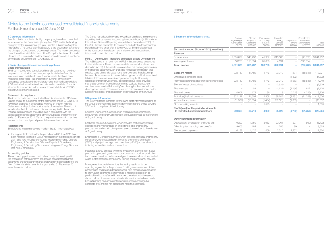Petrofac Interim report 2012

3 Segment information continued

## Notes to the interim condensed consolidated financial statements

For the six months ended 30 June 2012

#### 1 Corporate information

Petrofac Limited is a limited liability company registered and domiciled in Jersey under the Companies (Jersey) Law 1991 and is the holding company for the international group of Petrofac subsidiaries (together "the Group"). The Group's principal activity is the provision of services to the oil & gas production and processing industry. The interim condensed consolidated financial statements of the Group for the six months ended 30 June 2012 were authorised for issue in accordance with a resolution of the Board of Directors on 10 August 2012.

#### 2 Basis of preparation and accounting policies Basis of preparation

The interim condensed consolidated financial statements have been prepared on a historical cost basis, except for derivative financial instruments and available-for-sale financial assets that have been measured at fair value. The presentation currency of the interim condensed consolidated financial statements is United States dollars (US\$) and all values in the interim condensed consolidated financial statements are rounded to the nearest thousand dollars (US\$'000) except where otherwise stated.

#### Statement of compliance

The interim condensed consolidated financial statements of Petrofac Limited and all its subsidiaries for the six months ended 30 June 2012 have been prepared in accordance with IAS 34 'Interim Financial Statements' and applicable requirements of Jersey law. They do not include all of the information and disclosures required in the annual financial statements and should be read in conjunction with the consolidated financial statements of the Group as at and for the year ended 31 December 2011. Certain comparative information has been restated in the current period presentation as outlined below.

#### **Restatements**

The following restatements were made in the 2011 comparatives:

• the segment information for the period ended 30 June 2011 has been restated to reflect a Group reorganisation that took place in late 2011 and now includes four revised reporting segments, Onshore Engineering & Construction, Offshore Projects & Operations, Engineering & Consulting Services and Integrated Energy Services (see note 3 for details).

#### Accounting policies

The accounting policies and methods of computation adopted in the preparation of these interim condensed consolidated financial statements are consistent with those followed in the preparation of the Group's financial statements for the year ended 31 December 2011, except as noted below.

The Group has adopted new and revised Standards and Interpretations issued by the International Accounting Standards Board (IASB) and the International Financial Reporting Interpretations Committee (IFRIC) of the IASB that are relevant to its operations and effective for accounting periods beginning on or after 1 January 2012. The principal effects of the adoption of the relevant new and amended standards and interpretations are discussed below:

#### IFRS 7 – Disclosures – Transfers of financial assets (Amendment)

The IASB issued an amendment to IFRS 7 that enhances disclosures for financial assets. These disclosures relate to assets transferred (as defined in IAS 39). If the assets transferred are not derecognised entirely in the financial statements, an entity has to disclose information that enables users of financial statements to understand the relationship between those assets which are not derecognised and their associated liabilities. If those assets are derecognised entirely, but the entity retains a continuing involvement, disclosures have to be provided that enable users of financial statements to evaluate the nature of and risks associated with the entity's continuing involvement in those derecognised assets. This amendment did not have any impact on the accounting policies, financial position or performance of the Group.

#### 3 Segment information

The following tables represent revenue and profit information relating to the Group's four reporting segments for the six months ended 30 June 2012 which comprises of the following:

Onshore Engineering & Construction which provides engineering, procurement and construction project execution services to the onshore oil & gas industry.

Offshore Projects & Operations which provides offshore engineering, operations and maintenance on and offshore and engineering, procurement and construction project execution services to the offshore oil & gas industry.

Engineering & Consulting Services which provides technical engineering, consultancy, conceptual design, front end engineering and design (FEED) and project management consultancy (PMC) across all sectors including renewables and carbon capture.

Integrated Energy Services which co-invests with partners in oil & gas production, processing and transportation assets, provides production improvement services under value aligned commercial structures and oil & gas related technical competency training and consultancy services.

Management separately monitors the trading results of its four reporting segments for the purpose of making an assessment of their performance and making decisions about how resources are allocated to them. Each segment's performance is measured based on its profitability which is reflected in a manner consistent with the results shown below. However certain shareholder service related overheads, Group financing and consolidation adjustments are managed at corporate level and are not allocated to reporting segments.

| $\bullet$ ocyment imorniauon $\circ$ oniaidod                                 | Onshore<br>Engineering &<br>Construction<br>US\$'000 | Offshore<br>Projects &<br>Operations<br>US\$'000 | Engineering<br>& Consulting<br>Services<br>US\$'000 | Integrated<br>Energy<br>Services<br>US\$'000 | Corporate &<br>others<br>US\$'000 | Consolidation<br>adiustments<br>& eliminations<br>US\$'000 | Total<br><b>US\$'000</b> |
|-------------------------------------------------------------------------------|------------------------------------------------------|--------------------------------------------------|-----------------------------------------------------|----------------------------------------------|-----------------------------------|------------------------------------------------------------|--------------------------|
| Six months ended 30 June 2012 (unaudited)                                     |                                                      |                                                  |                                                     |                                              |                                   |                                                            |                          |
| Revenue                                                                       |                                                      |                                                  |                                                     |                                              |                                   |                                                            |                          |
| External sales                                                                | 2,365,099                                            | 546,703                                          | 41,987                                              | 318,500                                      |                                   | (30, 532)                                                  | 3,241,757                |
| Inter-segment sales                                                           | 16,206                                               | 115,034                                          | 61,803                                              | 4,191                                        | $\qquad \qquad -$                 | (197, 234)                                                 |                          |
| <b>Total revenue</b>                                                          | 2,381,305                                            | 661,737                                          | 103,790                                             | 322,691                                      | -                                 | (227,766)                                                  | 3,241,757                |
| Segment results                                                               | 298,110                                              | 41,486                                           | 4,772                                               | 93,079                                       | (231)                             | (18, 845)                                                  | 418,371                  |
| Unallocated corporate costs                                                   |                                                      |                                                  |                                                     |                                              | (4, 322)                          |                                                            | (4,322)                  |
| Profit/(loss) before tax and finance income/(costs)                           | 298,110                                              | 41,486                                           | 4,772                                               | 93,079                                       | (4, 553)                          | (18, 845)                                                  | 414,049                  |
| Share of losses of associates                                                 |                                                      |                                                  |                                                     | (2,629)                                      |                                   |                                                            | (2,629)                  |
| Finance costs                                                                 |                                                      | (55)                                             |                                                     | (1,721)                                      | (2, 156)                          | 1,812                                                      | (2, 120)                 |
| Finance income                                                                | 4,007                                                | 173                                              | 36                                                  | 18                                           | 3,228                             | (4,226)                                                    | 3,236                    |
| Profit/(loss) before income tax                                               | 302,117                                              | 41,604                                           | 4,808                                               | 88,747                                       | (3,481)                           | (21, 259)                                                  | 412,536                  |
| Income tax (expense)                                                          | (51,509)                                             | (10,894)                                         | (1,434)                                             | (23, 721)                                    | (1,309)                           |                                                            | (88, 867)                |
| Non-controlling interests                                                     |                                                      |                                                  | 1,595                                               |                                              |                                   |                                                            | 1,595                    |
| Profit/(loss) for the period attributable<br>to Petrofac Limited shareholders | 250,608                                              | 30.710                                           | 4.969                                               | 65,026                                       | (4,790)                           | (21, 259)                                                  | 325,264                  |

#### Other segment information

| Depreciation, amortisation and write-offs | 19.290 | 1.759 | 2.932            | 20.004 | 297   | (860)                           | 43.422 |
|-------------------------------------------|--------|-------|------------------|--------|-------|---------------------------------|--------|
| Other long-term employment benefits       | 9.005  | 184   | $\hspace{0.1mm}$ | 285    | 89    | $\hspace{0.1mm}-\hspace{0.1mm}$ | 9.563  |
| Share-based payments                      | 6.138  | 1.425 | 459              | 2.510  | 2.332 | $\hspace{0.05cm}$               | 12.864 |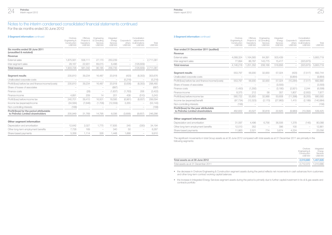For the six months ended 30 June 2012

| <b>3 Seament information continued</b>                                        | Onshore<br>Engineering &<br>Construction<br>US\$'000 | Offshore<br>Projects &<br>Operations<br><b>US\$'000</b> | Engineering<br>& Consultina<br>Services<br><b>US\$'000</b> | Integrated<br>Energy<br>Services<br><b>US\$'000</b> | Corporate &<br><b>US\$'000</b> | Consolidation<br>adiustments<br>others & eliminations<br>US\$'000 | Total<br>US\$'000 | <b>3 Seament information continued</b>  |
|-------------------------------------------------------------------------------|------------------------------------------------------|---------------------------------------------------------|------------------------------------------------------------|-----------------------------------------------------|--------------------------------|-------------------------------------------------------------------|-------------------|-----------------------------------------|
| Six months ended 30 June 2011                                                 |                                                      |                                                         |                                                            |                                                     |                                |                                                                   |                   | Year ended 31 December 2011 (           |
| (unaudited & restated)                                                        |                                                      |                                                         |                                                            |                                                     |                                |                                                                   |                   | Revenue                                 |
| Revenue                                                                       |                                                      |                                                         |                                                            |                                                     |                                |                                                                   |                   | <b>External sales</b>                   |
| <b>External sales</b>                                                         | 1.875.561                                            | 558.111                                                 | 27,170                                                     | 250,239                                             |                                | $\overline{\phantom{0}}$                                          | 2,711,081         | Inter-segment sales                     |
| Inter-segment sales                                                           | 28,167                                               | 22,931                                                  | 69,015                                                     | 6.496                                               | $\qquad \qquad -$              | (126, 609)                                                        |                   | <b>Total revenue</b>                    |
| <b>Total revenue</b>                                                          | 1,903,728                                            | 581.042                                                 | 96,185                                                     | 256,735                                             |                                | (126, 609)                                                        | 2,711,081         |                                         |
|                                                                               |                                                      |                                                         |                                                            |                                                     |                                |                                                                   |                   | Seament results                         |
| Seament results                                                               | 235,810                                              | 39,234                                                  | 16,487                                                     | 20,918                                              | (420)                          | (8,353)                                                           | 303,676           | Unallocated corporate costs             |
| Unallocated corporate costs                                                   |                                                      |                                                         |                                                            |                                                     | (5,216)                        | $\qquad \qquad -$                                                 | (5,216)           | Profit/(loss) before tax and finance in |
| Profit/(loss) before tax and finance income/(costs)                           | 235,810                                              | 39,234                                                  | 16,487                                                     | 20,918                                              | (5,636)                        | (8,353)                                                           | 298,460           | Share of losses of associates           |
| Share of losses of associates                                                 |                                                      |                                                         |                                                            | (687)                                               |                                |                                                                   | (687)             | Finance costs                           |
| Finance costs                                                                 |                                                      | (28)                                                    |                                                            | (1,837)                                             | (1,763)                        | 206                                                               | (3,422)           | Finance income                          |
| Finance income                                                                | 4.891                                                | 209                                                     | 14                                                         | 201                                                 | 438                            | (510)                                                             | 5,243             | Profit/(loss) before income tax         |
| Profit/(loss) before income tax                                               | 240,701                                              | 39.415                                                  | 16,501                                                     | 18.595                                              | (6,961)                        | (8,657)                                                           | 299,594           | Income tax (expense)/benefit            |
| Income tax (expense)/income                                                   | (34, 584)                                            | (7,646)                                                 | (1,706)                                                    | (12, 559)                                           | 3,355                          |                                                                   | (53, 140)         | Non-controlling interests               |
| Non-controlling interests                                                     | (168)                                                |                                                         |                                                            |                                                     |                                |                                                                   | (168)             | Profit/(loss) for the year attributa    |
| Profit/(loss) for the period attributable<br>to Petrofac Limited shareholders | 205,949                                              | 31.769                                                  | 14,795                                                     | 6,036                                               | (3,606)                        | (8,657)                                                           | 246,286           | to Petrofac Limited shareholde          |
|                                                                               |                                                      |                                                         |                                                            |                                                     |                                |                                                                   |                   | Other segment information               |
| Other segment information                                                     |                                                      |                                                         |                                                            |                                                     |                                |                                                                   |                   | Depreciation and amortisation           |
| Depreciation and amortisation                                                 | 12,642                                               | 2,027                                                   | 1.775                                                      | 17.835                                              | 245                            | (330)                                                             | 34,194            | Other lengt crop employment benef       |

| Depreciation and amortisation       |       | 12.642 2.027 |                                 | 1.775 17.835                | 245  |        | (330) 34,194 |
|-------------------------------------|-------|--------------|---------------------------------|-----------------------------|------|--------|--------------|
| Other long-term employment benefits | 7.728 | 169          | the contract of the contract of | - 340                       | - 50 | $\sim$ | 8.287        |
| Share-based payments                |       |              |                                 | 5.356 1.114 326 1.448 1.666 |      |        | $-$ 9,910    |

| <u>J Jeghnent Innonnation commerce</u>                                      | Onshore<br>Engineering &<br>Construction<br>US\$'000 | Offshore<br>Projects &<br>Operations<br>US\$'000 | Enaineerina<br>& Consultina<br>Services<br>US\$'000 | Integrated<br>Energy<br>Services<br>US\$'000 | Corporate &<br>others<br><b>US\$'000</b> | Consolidation<br>adiustments<br>& eliminations<br>US\$'000 | Total<br>US\$'000 |
|-----------------------------------------------------------------------------|------------------------------------------------------|--------------------------------------------------|-----------------------------------------------------|----------------------------------------------|------------------------------------------|------------------------------------------------------------|-------------------|
| Year ended 31 December 2011 (audited)                                       |                                                      |                                                  |                                                     |                                              |                                          |                                                            |                   |
| Revenue                                                                     |                                                      |                                                  |                                                     |                                              |                                          |                                                            |                   |
| External sales                                                              | 4,068,324                                            | 1,164,565                                        | 64,391                                              | 503,439                                      |                                          |                                                            | 5,800,719         |
| Inter-segment sales                                                         | 77,894                                               | 86,787                                           | 143,775                                             | 15,417                                       |                                          | (323, 873)                                                 |                   |
| <b>Total revenue</b>                                                        | 4,146,218                                            | 1,251,352                                        | 208,166                                             | 518,856                                      |                                          | (323, 873)                                                 | 5,800,719         |
| Segment results                                                             | 553.797                                              | 56,930                                           | 32,930                                              | 57,024                                       | (420)                                    | (7, 517)                                                   | 692,744           |
| Unallocated corporate costs                                                 |                                                      |                                                  |                                                     |                                              | (9,864)                                  |                                                            | (9,864)           |
| Profit/(loss) before tax and finance income/(costs)                         | 553.797                                              | 56,930                                           | 32,930                                              | 57,024                                       | (10, 284)                                | (7, 517)                                                   | 682,880           |
| Share of losses of associates                                               |                                                      |                                                  |                                                     | (3,593)                                      |                                          |                                                            | (3,593)           |
| Finance costs                                                               | (1,450)                                              | (1,292)                                          |                                                     | (3, 180)                                     | (2,921)                                  | 2,244                                                      | (6,599)           |
| Finance income                                                              | 8,375                                                | 212                                              | 58                                                  | 357                                          | 1,807                                    | (2,932)                                                    | 7,877             |
| Profit/(loss) before income tax                                             | 560,722                                              | 55,850                                           | 32,988                                              | 50,608                                       | (11,398)                                 | (8,205)                                                    | 680,565           |
| Income tax (expense)/benefit                                                | (97, 734)                                            | (12, 323)                                        | (2, 170)                                            | (27,983)                                     | 1,415                                    | (2, 189)                                                   | (140,984)         |
| Non-controlling interests                                                   | (156)                                                |                                                  |                                                     |                                              |                                          |                                                            | (156)             |
| Profit/(loss) for the year attributable<br>to Petrofac Limited shareholders | 462.832                                              | 43,527                                           | 30.818                                              | 22.625                                       | (9,983)                                  | (10, 394)                                                  | 539,425           |

#### Other segment information

Petrofac Interim report 2012

| Depreciation and amortisation       |            |  | 31,097  4,496  6,756  36,506  1,378  (145)  80,088 |  |
|-------------------------------------|------------|--|----------------------------------------------------|--|
| Other long-term employment benefits | 12.013 352 |  | - 396 100 - 12.861                                 |  |
| Share-based payments                |            |  | 11.863 2.521 774 3.674 4.224 - 23.056              |  |

The significant movements in total Group assets as at 30 June 2012 compared with total assets as at 31 December 2011 are primarily in the following segments:

|                                     | Onshore<br>Engineering &<br>Construction<br>US\$'000 | Integrated<br>Energy<br>Services<br>US\$'000 |
|-------------------------------------|------------------------------------------------------|----------------------------------------------|
| Total assets as at 30 June 2012     | 2.510.680                                            | 1.457.628                                    |
| Total assets as at 31 December 2011 | 2.712.072 1.010.686                                  |                                              |

• the decrease in Onshore Engineering & Construction segment assets during the period reflects net movements in cash advances from customers and other long-term contract working capital balances

• the increase in Integrated Energy Services segment assets during the period is primarily due to further capital investment in its oil & gas assets and contracts portfolio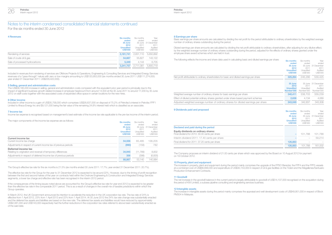For the six months ended 30 June 2012

| 4 Revenues                     | <b>Six months</b><br>ended<br>30 June<br>2012<br><b>Unaudited</b><br><b>US\$'000</b> | Six months<br>ended<br>2011<br>Unaudited<br>US\$'000 | Year<br>ended<br>30 June 31 December<br>2011<br>Audited<br>US\$'000 |
|--------------------------------|--------------------------------------------------------------------------------------|------------------------------------------------------|---------------------------------------------------------------------|
| Rendering of services          | 3.181.741                                                                            | 2,651,110                                            | 5,650,892                                                           |
| Sale of crude oil & gas        | 54,667                                                                               | 55,827                                               | 143.122                                                             |
| Sale of processed hydrocarbons | 5.349                                                                                | 4.144                                                | 6,705                                                               |
|                                | 3.241.757                                                                            | 2.711.081                                            | 5.800.719                                                           |

Included in revenues from rendering of services are Offshore Projects & Operations, Engineering & Consulting Services and Integrated Energy Services revenues of a "pass-through" nature with zero or low margins amounting to US\$120,953,000 (six months ended 30 June 2011: US\$111,274,000; year ended 31 December 2011: US\$229,422,000).

#### 5 Selling, general and administration costs

The US\$58,185,000 increase in selling, general and administration costs compared with the equivalent prior year period is principally due to the impact of significant business growth related increase in employee headcount from around 14,500 at the 30 June 2011 to around 17,200 by 30 June 2012 on staff costs together with the associated costs of expanded office space in certain locations for the new hires.

#### 6 Other income

Included in other income is a gain of US\$35,758,000 which comprises US\$26,637,000 on disposal of 75.2% of Petrofac's interest in Petrofac FPF1 Limited to Ithaca Energy Inc and \$9,121,000 being the fair value of the remaining 24.8% interest held which is classified as an associate.

Income tax expense is recognised based on management's best estimate of the income tax rate applicable to the pre-tax income of the interim period.

The major components of the income tax expense are as follows:

| THE REPORT OF HIS CLIP OF THE REPORT OF THE REPORT OF CHANGE TO THE REPORT OF THE REPORT OF THE REPORT OF THE REPORT OF THE REPORT OF THE REPORT OF THE REPORT OF THE REPORT OF THE REPORT OF THE REPORT OF THE REPORT OF THE | <b>Six months</b> | Six months       | Year                |
|-------------------------------------------------------------------------------------------------------------------------------------------------------------------------------------------------------------------------------|-------------------|------------------|---------------------|
|                                                                                                                                                                                                                               | ended             | ended            | ended               |
|                                                                                                                                                                                                                               | 30 June           |                  | 30 June 31 December |
|                                                                                                                                                                                                                               | 2012              | 2011             | 2011                |
|                                                                                                                                                                                                                               | <b>Unaudited</b>  | <b>Unaudited</b> | Audited             |
|                                                                                                                                                                                                                               | <b>US\$'000</b>   | US\$'000         | US\$'000            |
| Current income tax                                                                                                                                                                                                            |                   |                  |                     |
| Current income tax charge                                                                                                                                                                                                     | 54,556            | 65.485           | 138.205             |
| Adjustments in respect of current income tax of previous periods                                                                                                                                                              | (990)             | (158)            | 782                 |
| Deferred income tax                                                                                                                                                                                                           |                   |                  |                     |
| Relating to origination and reversal of temporary differences                                                                                                                                                                 | 34.945            | (11,789)         | 8,832               |
| Adjustments in respect of deferred income tax of previous periods                                                                                                                                                             | 356               | (398)            | (6,835)             |
|                                                                                                                                                                                                                               | 88,867            | 53.140           | 140.984             |

The Group's effective tax rate for the six months is 21.5% (six months ended 30 June 2011: 17.7%; year ended 31 December 2011: 20.7%).

The effective tax rate for the Group for the year to 31 December 2012 is expected to be around 22%. However, due to the timing of profit recognition between the first and second halves of the year on contracts held within the Onshore Engineering & Construction and Integrated Energy Services segments, a lower tax charge and effective rate has been recognised in the interim 2012 period.

If the consequences of the timing issues noted above are accounted for, the Group's effective tax rate for year end 2012 is expected to be greater than the effective tax rate in the comparable 2011 period. This is as a result of changes in the overall mix of taxable jurisdictions within which the Group operates.

In March 2012, the UK Government announced its intention to accelerate the reduction in the UK corporation tax rate. The tax rate of 24% is effective from 1 April 2012, 23% from 1 April 2013 and 22% from 1 April 2014. At 30 June 2012 the 24% tax rate change was substantially enacted and the deferred tax assets and liabilities are based on the new rate. The deferred tax assets and liabilities would have reduced by approximately US\$2,081,000 and US\$143,000 respectively had the further reductions in the corporation tax rates referred to above been substantively enacted as of the said date.

#### 8 Earnings per share

Basic earnings per share amounts are calculated by dividing the net profit for the period attributable to ordinary shareholders by the weighted average number of ordinary shares outstanding during the period.

Diluted earnings per share amounts are calculated by dividing the net profit attributable to ordinary shareholders, after adjusting for any dilutive effect, by the weighted average number of ordinary shares outstanding during the period, adjusted for the effects of ordinary shares granted under the employee share award schemes which are held in trust.

The following reflects the income and share data used in calculating basic and diluted earnings per share:

|                                                                                           | <b>Six months</b><br>ended<br>30 June<br>2012<br><b>Unaudited</b><br><b>US\$'000</b> | Six months<br>ended<br>30 June<br>2011<br>Unaudited<br>US\$'000 | Year<br>ended<br>31 December<br>2011<br>Audited<br>US\$'000 |
|-------------------------------------------------------------------------------------------|--------------------------------------------------------------------------------------|-----------------------------------------------------------------|-------------------------------------------------------------|
| Net profit attributable to ordinary shareholders for basic and diluted earnings per share | 325.264                                                                              | 246.286                                                         | 539.425                                                     |
|                                                                                           | 30 June<br>2012<br><b>Unaudited</b><br>Number'000                                    | 2011<br>Unaudited<br>Number'000                                 | 30 June 31 December<br>2011<br>Audited<br>Number'000        |
| Weighted average number of ordinary shares for basic earnings per share                   | 340,411                                                                              | 338,703                                                         | 339.239                                                     |
| Effect of diluted potential ordinary shares granted under share-based payment schemes     | 2.638                                                                                | 4.134                                                           | 4,069                                                       |
| Adjusted weighted average number of ordinary shares for diluted earnings per share        | 343,049                                                                              | 342,837                                                         | 343.308                                                     |
|                                                                                           |                                                                                      |                                                                 |                                                             |

# 9 Dividends paid and proposed 7 Income tax

|                                                | <b>Six months</b> | Six months | Year                |
|------------------------------------------------|-------------------|------------|---------------------|
|                                                | ended             | ended      | ended               |
|                                                | 30 June           |            | 30 June 31 December |
|                                                | 2012              | 2011       | 2011                |
|                                                | <b>Unaudited</b>  | Unaudited  | Audited             |
|                                                | <b>US\$'000</b>   | US\$'000   | US\$'000            |
| Declared and paid during the period            |                   |            |                     |
| Equity dividends on ordinary shares:           |                   |            |                     |
| Final dividend for 2010: 30.00 cents per share |                   | 101.788    | 101,788             |
| Interim dividend 2011: 17.40 cents per share   |                   |            | 59.214              |
| Final dividend for 2011: 37.20 cents per share | 126,883           |            |                     |
|                                                | 126,883           | 101.788    | 161.002             |

The Company proposes an interim dividend of 21.00 cents per share which was approved by the Board on 10 August 2012 for payment on 19 October 2012.

#### 10 Property, plant and equipment

The increase in property, plant and equipment during the period mainly comprises the upgrade of the FPSO Berantai, the FPF4 and the FPF5 vessels at a combined cost of US\$66,699,000 and expenditure of US\$30,153,000 in respect of oil & gas facilities on the Ticleni and the Magallenes/Santuario Production Enhancement Contracts.

#### 11 Goodwill

Year

The net increase in the goodwill balance in the current period is largely attributable to goodwill of US\$14,107,000 recognised on the acquisition during the period of KW Limited, a subsea pipeline consulting and engineering services business.

#### 12 Intangible assets

The increase in intangible assets during the period mainly comprises the appraisal and well development costs of US\$49,951,000 in respect of Block PM304 in Malaysia.

Year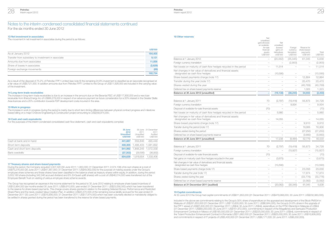For the six months ended 30 June 2012

#### 13 Net investment in associates

The movement in net investment in associates during the period is as follows:

|                                                     | <b>USS'000</b> |
|-----------------------------------------------------|----------------|
| As at January 2012                                  | 164,405        |
| Transfer from subsidiary to investment in associate | 9.121          |
| Amounts due from associates                         | 11,926         |
| Share of losses in associates                       | (2,629)        |
| Foreign exchange movements                          | (89)           |
|                                                     | 182.734        |

As a result of the disposal of 75.2% of Petrofac FPF1 Limited (see note 6) the remaining 24.8% investment is classified as an associate recognised at a fair value of US\$9,121,000. In addition amounts due from Petrofac FPF1 Limited to the Group of US\$11,926,000 are included in the carrying value of the investment.

#### 14 Long-term trade receivables

The increase in long-term trade receivables is due to an increase in the amount due on the Berantai RSC of US\$117,800,000 and a new loan receivable from Ithaca Energy Inc of US\$86,278,000 in respect of an advance payment as future consideration for a 20% interest in the Greater Stella Area licences and a 20% contribution towards FDP development costs incurred in the area.

#### 15 Work in progress

The increase in work in progress during the period is mainly due to short-term timing differences between physical contract progress and milestone based billing on a major Onshore Engineering & Construction project amounting to US\$358,974,000.

#### 16 Cash and cash equivalents

For the purposes of the interim condensed consolidated cash flow statement, cash and cash equivalents comprise:

|                              | 30 June<br>2012<br><b>Unaudited</b><br><b>US\$'000</b> | 2011<br><b>Unaudited</b><br>US\$'000 | 30 June 31 December<br>2011<br>Audited<br>US\$'000 |
|------------------------------|--------------------------------------------------------|--------------------------------------|----------------------------------------------------|
| Cash at bank and in hand     | 441,687                                                | 359.846                              | 490,446                                            |
| Short-term deposits          |                                                        | 400,305 1,488,403 1,081,892          |                                                    |
| Cash and short term deposits |                                                        | 841,992 1,848,249 1,572,338          |                                                    |
| Bank overdrafts              | (37, 353)                                              | (29, 595)                            | (36, 932)                                          |
|                              | 804,639                                                | 1.818.654                            | 1.535.406                                          |

#### 17 Treasury shares and share-based payments

During the period, the Company acquired 3,007,320 (30 June 2011: 1,950,000; 31 December 2011: 2,074,138) of its own shares at a cost of US\$75,276,000 (30 June 2011: US\$47,387,000; 31 December 2011: US\$49,062,000) for the purpose of making awards under the Group's employee share schemes and these shares have been classified in the balance sheet as treasury shares within equity. In addition, during the period 3,003,180 shares (including 342,346 accrued dividend and 8% EnQuest uplift shares) with a cost of US\$46,014,000 were transferred out of the Employee Benefit Trust on vesting of various employee share scheme awards.

The Group has recognised an expense in the income statement for the period to 30 June 2012 relating to employee share-based incentives of US\$12,864,000 (six months ended 30 June 2011: US\$9,910,000; year ended 31 December 2011: US\$23,056,000) which has been transferred to the reserve for share-based payments. This charge covers shares granted in relation to the existing Deferred Bonus, Performance and Restricted Share Plans and the newly created Value Creation Plan. In addition US\$20,470,000 of the remaining bonus liability accrued for the year ended 31 December 2011 (30 June 2011: US\$16,906,000; 31 December 2011: US\$17,974,000) which has been voluntarily elected or mandatorily obliged to be settled in shares granted during the period has been transferred to the reserve for share based payments.

| <b>18 Other reserves</b>                                                                        |                                                                                                     |                                                                       |                                                |                                                    |                   |
|-------------------------------------------------------------------------------------------------|-----------------------------------------------------------------------------------------------------|-----------------------------------------------------------------------|------------------------------------------------|----------------------------------------------------|-------------------|
|                                                                                                 | Net<br>unrealised<br>gains/(losses)<br>on available-<br>for-sale<br>financial<br>assets<br>US\$'000 | Net<br>unrealised<br>(losses)/<br>gains on<br>derivatives<br>US\$'000 | Foreign<br>currency<br>translation<br>US\$'000 | Reserve for<br>share-based<br>payments<br>US\$'000 | Total<br>US\$'000 |
| Balance at 1 January 2012                                                                       | $\overline{\phantom{0}}$                                                                            | (20,062)                                                              | (35, 345)                                      | 61,045                                             | 5,638             |
| Foreign currency translation                                                                    |                                                                                                     |                                                                       | (2,900)                                        |                                                    | (2,900)           |
| Net losses on maturity of cash flow hedges recycled in the period                               |                                                                                                     | 11,514                                                                |                                                |                                                    | 11,514            |
| Net changes in fair value of derivatives and financial assets<br>designated as cash flow hedges |                                                                                                     | (10,590)                                                              |                                                | $\overline{\phantom{0}}$                           | (10, 590)         |
| Share-based payments charge (note 17)                                                           |                                                                                                     |                                                                       | $\overline{\phantom{0}}$                       | 12,864                                             | 12,864            |
| Transfer during the year (note 17)                                                              |                                                                                                     |                                                                       | $\overline{\phantom{0}}$                       | 20,470                                             | 20,470            |
| Shares vested during the year                                                                   |                                                                                                     |                                                                       |                                                | (40, 769)                                          | (40, 769)         |
| Deferred tax on share based payments reserve                                                    |                                                                                                     |                                                                       |                                                | 1,323                                              | 1,323             |
| Balance at 30 June 2012 (unaudited)                                                             |                                                                                                     | (19, 138)                                                             | (38, 245)                                      | 54,933                                             | (2,450)           |
| Balance at 1 January 2011                                                                       | 70                                                                                                  | (2,797)                                                               | (19, 418)                                      | 56,873                                             | 34,728            |
| Foreign currency translation                                                                    |                                                                                                     |                                                                       | 9,934                                          |                                                    | 9,934             |
| Disposal of available-for-sale financial assets                                                 | (70)                                                                                                |                                                                       |                                                |                                                    | (70)              |
| Net losses on maturity of cash flow hedges recycled in the period                               | $\overline{\phantom{0}}$                                                                            | 5,980                                                                 |                                                |                                                    | 5,980             |
| Net changes in fair value of derivatives and financial assets<br>designated as cash flow hedges |                                                                                                     | 14,055                                                                |                                                |                                                    | 14,055            |
| Share-based payments charge (note 17)                                                           |                                                                                                     |                                                                       |                                                | 9,910                                              | 9,910             |
| Transfer during the period (note 17)                                                            |                                                                                                     |                                                                       |                                                | 16.906                                             | 16,906            |
| Shares vested during the period                                                                 |                                                                                                     |                                                                       | $\overline{\phantom{0}}$                       | (27, 250)                                          | (27, 250)         |
| Deferred tax on share based payments reserve                                                    |                                                                                                     |                                                                       |                                                | (3,660)                                            | (3,660)           |
| Balance at 30 June 2011 (unaudited)                                                             |                                                                                                     | 17,238                                                                | (9,484)                                        | 52,779                                             | 60,533            |
| Balance at 1 January 2011                                                                       | 70                                                                                                  | (2,797)                                                               | (19, 418)                                      | 56,873                                             | 34,728            |
| Foreign currency translation                                                                    | ÷                                                                                                   | $\overline{\phantom{a}}$                                              | (15,927)                                       | $\overline{\phantom{0}}$                           | (15, 927)         |
| Disposal of available-for-sale financial assets                                                 | (70)                                                                                                |                                                                       |                                                |                                                    | (70)              |
| Net gains on maturity cash flow hedges recycled in the year                                     | $\overline{a}$                                                                                      | (3,675)                                                               |                                                |                                                    | (3,675)           |
| Net changes in fair value of derivatives and financial assets<br>designated as cash flow hedges |                                                                                                     | (13,590)                                                              |                                                |                                                    | (13,590)          |
| Share-based payments charge (note 17)                                                           |                                                                                                     |                                                                       | $\overline{\phantom{0}}$                       | 23,056                                             | 23,056            |
| Transfer during the year (note 17)                                                              |                                                                                                     |                                                                       |                                                | 17,974                                             | 17,974            |
| Shares vested during the year                                                                   |                                                                                                     |                                                                       |                                                | (33, 776)                                          | (33, 776)         |
| Deferred tax on share based payments reserve                                                    |                                                                                                     |                                                                       |                                                | (3,082)                                            | (3,082)           |
| Balance at 31 December 2011 (audited)                                                           |                                                                                                     | (20.062)                                                              | (35, 345)                                      | 61,045                                             | 5,638             |

#### 19 Capital commitments

Petrofac Interim report 2012

At 30 June 2012 the Group had capital commitments of US\$611,853,000 (31 December 2011: US\$479,968,000; 30 June 2011: US\$232,383,000).

Included in the above are commitments relating to the Group's 30% share of expenditure on the appraisal and development of the Block PM304 in Malaysia of US\$281,653,000 (31 December 2011: US\$110,600,000; 30 June 2011; US\$6,844,000), the Group's 24.8% share in the upgrade of the FPF1 vessel of US\$81,600,000 (31 December 2011: US\$nil; 30 June 2011; US\$nil), expenditure on the FPSO Berantai in Malaysia of US\$nil (31 December 2011: US\$89,250,000; 30 June 2011: US\$161,972,000), commitments in respect of the Magallenes and Santuario Production Enhancement Contracts in Mexico of US\$185,000,000 (31 December 2011: US\$225,000,000; 30 June 2011: US\$nil), commitments in respect of the Ticleni Production Enhancement Contract in Romania US\$11,882,000 (31 December 2011: US\$25,000,000; 30 June 2011: US\$16,906,000) and commitments in respect of IT projects of US\$3,400,000 (31 December 2011: US\$6,171,000; 30 June 2011: US\$6,332,000).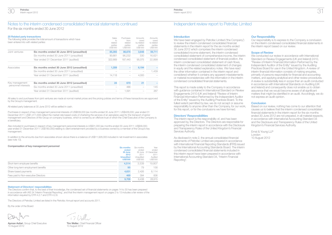For the six months ended 30 June 2012

#### 20 Related party transactions

| ZU NGKIGU DALIY U AHSAGUU IS<br>been entered into with related parties: | The following table provides the total amount of transactions which have | Sales<br>ŤΟ<br>related<br>parties<br>US\$'000 | Purchases<br>from<br>related<br>parties<br>US\$'000 | Amounts<br>owed<br>by related<br>parties<br>US\$'000 | Amounts<br>owed<br>to related<br>parties<br>US\$'000 |
|-------------------------------------------------------------------------|--------------------------------------------------------------------------|-----------------------------------------------|-----------------------------------------------------|------------------------------------------------------|------------------------------------------------------|
| Joint ventures                                                          | Six months ended 30 June 2012 (unaudited)                                | 85,393                                        | 86,678                                              | 3.648                                                | 59,711                                               |
|                                                                         | Six months ended 30 June 2011 (unaudited)                                | 90,661                                        | 96,232                                              | 330                                                  | 16,621                                               |
|                                                                         | Year ended 31 December 2011 (audited)                                    | 322,669                                       | 187.440                                             | 95,075                                               | 22,899                                               |
| Associates                                                              | Six months ended 30 June 2012 (unaudited)                                | 1,359                                         |                                                     | 6,194                                                |                                                      |
|                                                                         | Six months ended 30 June 2011 (unaudited)                                |                                               |                                                     |                                                      | 1,439                                                |
|                                                                         | Year ended 31 December 2011 (audited)                                    | 14.118                                        |                                                     | 4.000                                                |                                                      |
| Key management                                                          | Six months ended 30 June 2012 (unaudited)                                | 24                                            | 670                                                 | 21                                                   |                                                      |
| personnel interests                                                     | Six months ended 30 June 2011 (unaudited)                                |                                               | 486                                                 |                                                      | 145                                                  |
|                                                                         | Year ended 31 December 2011 (audited)                                    |                                               | 1.591                                               |                                                      | 267                                                  |
|                                                                         |                                                                          |                                               |                                                     |                                                      |                                                      |

All sales to and purchases from joint ventures are made at normal market prices and the pricing policies and terms of these transactions are approved by the Group's management.

#### All related party balances at 30 June 2012 will be settled in cash.

Purchases in respect of key management personnel interests of US\$639,000 (six months ended 30 June 2011: US\$428,000; year ended 31 December 2011: US\$1,411,000) reflect the market rate based costs of chartering the services of an aeroplane used for the transport of senior management and Directors of the Group on company business, which is owned by an offshore trust of which the Chief Executive of the Company is a beneficiary.

Also included in purchases in respect of key management personnel interests is US\$31,000 (six months ended 30 June 2011: US\$58,000; year ended 31 December 2011: US\$180,000) relating to client entertainment provided by a business owned by a member of the Group's key management.

In addition to the amounts due from associates shown above there is a balance of US\$11,926,000 included in net investment in associates (see note 13).

#### Compensation of key management personnel

| <b>Polliponomon of itely management polloning</b> | <b>Six months</b> | Six months | Year                |
|---------------------------------------------------|-------------------|------------|---------------------|
|                                                   | ended             | ended      | ended               |
|                                                   | 30 June           |            | 30 June 31 December |
|                                                   | 2012              | 2011       | 2011                |
|                                                   | <b>Unaudited</b>  | Unaudited  | Audited             |
|                                                   | <b>US\$'000</b>   | US\$'000   | US\$'000            |
| Short-term employee benefits                      | 4.514             | 3.539      | 19.807              |
| Other long-term employment benefits               | 95                | 79         | 158                 |
| Share-based payments                              | 4,631             | 2.426      | 8.114               |
| Fees paid to Non-executive Directors              | 469               | 394        | 836                 |
|                                                   | 9.709             | 6.438      | 28.915              |

Six months

#### Statement of Directors' responsibilities

The Directors confirm that, to the best of their knowledge, the condensed set of financial statements on pages 14 to 30 has been prepared in accordance with IAS 34 'Interim Financial Reporting', and that the interim management report on pages 2 to 13 includes a fair review of the information required by DTR 4.2.7 and DTR 4.2.8.

The Directors of Petrofac Limited are listed in the *Petrofac Annual report and accounts 2011*.

By the order of the Board

**Ayman Asfari**, Group Chief Executive 10 August 2012

Tim Weller, Chief Financial Officer 10 August 2012

## Independent review report to Petrofac Limited

#### Introduction

We have been engaged by Petrofac Limited ('the Company') to review the interim condensed consolidated financial statements in the interim report for the six months ended 30 June 2012 which comprises the interim condensed consolidated income statement, the interim condensed consolidated statement of comprehensive income, the interim condensed consolidated statement of financial position, the interim condensed consolidated statement of cash flows, the interim condensed consolidated statement of changes in equity and the related explanatory notes. We have read the other information contained in the interim report and considered whether it contains any apparent misstatements or material inconsistencies with the information in the interim condensed consolidated financial statements.

This report is made solely to the Company in accordance with guidance contained in International Standard on Review Engagements 2410 (UK and Ireland) "Review of Interim Financial Information Performed by the Independent Auditor of the Entity" issued by the Auditing Practices Board. To the fullest extent permitted by law, we do not accept or assume responsibility to anyone other than the Company, for our work, for this report, or for the conclusions we have formed.

#### Directors' Responsibilities

The interim report is the responsibility of, and has been approved by, the Directors. The Directors are responsible for preparing the interim report in accordance with the Disclosure and Transparency Rules of the United Kingdom's Financial Services Authority.

As disclosed in note 2, the annual consolidated financial statements of Petrofac Limited are prepared in accordance with International Financial Reporting Standards (IFRS) issued by the International Accounting Standards Board. The interim condensed consolidated financial statements included in this interim report have been prepared in accordance with International Accounting Standard 34, "Interim Financial Reporting".

#### **Our Responsibility**

Our responsibility is to express to the Company a conclusion on the interim condensed consolidated financial statements in the interim report based on our review.

#### Scope of Review

We conducted our review in accordance with International Standard on Review Engagements (UK and Ireland) 2410, "Review of Interim Financial Information Performed by the Independent Auditor of the Entity" issued by the Auditing Practices Board for use in the United Kingdom. A review of interim financial information consists of making enquiries, primarily of persons responsible for financial and accounting matters, and applying analytical and other review procedures. A review is substantially less in scope than an audit conducted in accordance with International Standards on Auditing (UK and Ireland) and consequently does not enable us to obtain assurance that we would become aware of all significant matters that might be identified in an audit. Accordingly, we do not express an audit opinion.

#### Conclusion

Based on our review, nothing has come to our attention that causes us to believe that the interim condensed consolidated financial statements in the interim report for the six months ended 30 June 2012 are not prepared, in all material respects, in accordance with International Accounting Standard 34 and the Disclosure and Transparency Rules of the United Kingdom's Financial Services Authority.

Ernst & Young LLP London 10 August 2012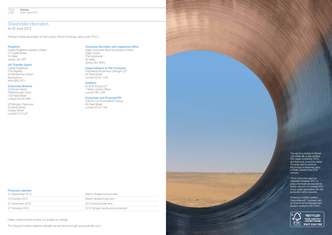# Shareholder information

At 30 June 2012

Petrofac shares are traded on the London Stock Exchange using code 'PFC.L'.

#### **Registrar**

Capita Registrars (Jersey) Limited 12 Castle Street St Helier Jersey JE2 3RT

#### UK Transfer Agent

Capita Registrars The Registry 34 Beckenham Road Beckenham Kent BR3 4TU

#### Corporate Brokers

Goldman Sachs Peterborough Court 133 Fleet Street London EC4A 2BB

JP Morgan Cazenove 25 Bank Street Canary Wharf London E14 5JP

# **Company Secretary and registered office**<br>Ogier Corporate Services (Jersey) Limited

Petrofac Interim report 2012

Ogier House The Esplanade St Helier Jersey JE4 9WG

## Legal Advisers to the Company

Freshfields Bruckhaus Deringer LLP 65 Fleet Street London EC4Y 1HS

## **Auditors**

Ernst & Young LLP 1 More London Place London SE1 2AF

#### Corporate and Financial PR

Tulchan Communications Group 85 Fleet Street London EC4Y 1AE

## Financial calender

| 21 September 2012 | Interim dividend record date        |
|-------------------|-------------------------------------|
| 19 October 2012   | Interim dividend payment            |
| 31 December 2012  | 2012 financial year end             |
| 27 February 2013  | 2012 full year results announcement |

Dates correct at time of print, but subject to change.

The Group's investor relations website can be found through www.petrofac.com